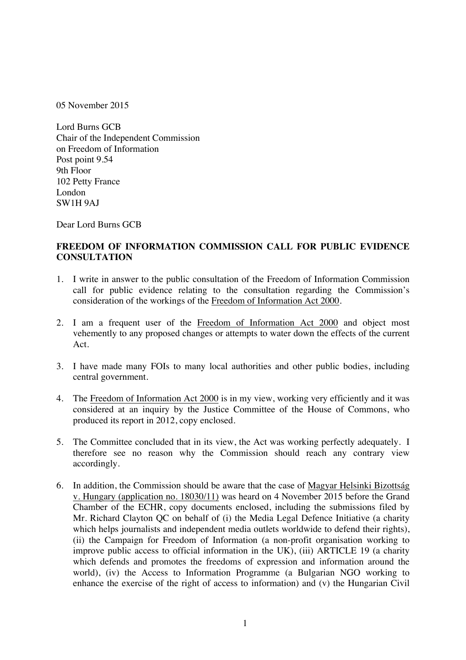05 November 2015

Lord Burns GCB Chair of the Independent Commission on Freedom of Information Post point 9.54 9th Floor 102 Petty France London SW1H 9AJ

Dear Lord Burns GCB

## **FREEDOM OF INFORMATION COMMISSION CALL FOR PUBLIC EVIDENCE CONSULTATION**

- 1. I write in answer to the public consultation of the Freedom of Information Commission call for public evidence relating to the consultation regarding the Commission's consideration of the workings of the Freedom of Information Act 2000.
- 2. I am a frequent user of the Freedom of Information Act 2000 and object most vehemently to any proposed changes or attempts to water down the effects of the current Act.
- 3. I have made many FOIs to many local authorities and other public bodies, including central government.
- 4. The Freedom of Information Act 2000 is in my view, working very efficiently and it was considered at an inquiry by the Justice Committee of the House of Commons, who produced its report in 2012, copy enclosed.
- 5. The Committee concluded that in its view, the Act was working perfectly adequately. I therefore see no reason why the Commission should reach any contrary view accordingly.
- 6. In addition, the Commission should be aware that the case of Magyar Helsinki Bizottság v. Hungary (application no. 18030/11) was heard on 4 November 2015 before the Grand Chamber of the ECHR, copy documents enclosed, including the submissions filed by Mr. Richard Clayton QC on behalf of (i) the Media Legal Defence Initiative (a charity which helps journalists and independent media outlets worldwide to defend their rights), (ii) the Campaign for Freedom of Information (a non-profit organisation working to improve public access to official information in the UK), (iii) ARTICLE 19 (a charity which defends and promotes the freedoms of expression and information around the world), (iv) the Access to Information Programme (a Bulgarian NGO working to enhance the exercise of the right of access to information) and (v) the Hungarian Civil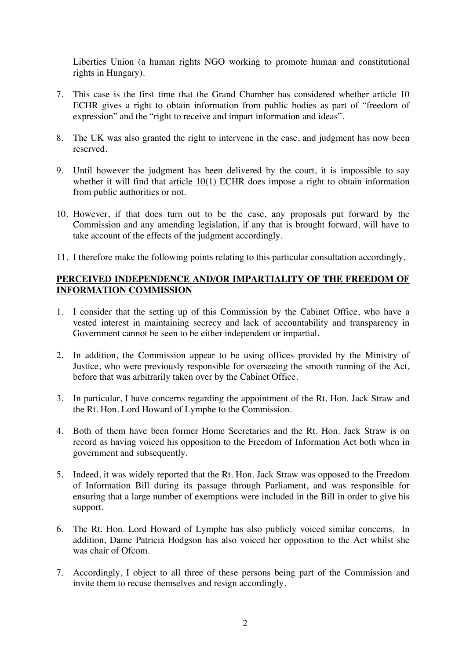Liberties Union (a human rights NGO working to promote human and constitutional rights in Hungary).

- 7. This case is the first time that the Grand Chamber has considered whether article 10 ECHR gives a right to obtain information from public bodies as part of "freedom of expression" and the "right to receive and impart information and ideas".
- 8. The UK was also granted the right to intervene in the case, and judgment has now been reserved.
- 9. Until however the judgment has been delivered by the court, it is impossible to say whether it will find that article 10(1) ECHR does impose a right to obtain information from public authorities or not.
- 10. However, if that does turn out to be the case, any proposals put forward by the Commission and any amending legislation, if any that is brought forward, will have to take account of the effects of the judgment accordingly.
- 11. I therefore make the following points relating to this particular consultation accordingly.

## **PERCEIVED INDEPENDENCE AND/OR IMPARTIALITY OF THE FREEDOM OF INFORMATION COMMISSION**

- 1. I consider that the setting up of this Commission by the Cabinet Office, who have a vested interest in maintaining secrecy and lack of accountability and transparency in Government cannot be seen to be either independent or impartial.
- 2. In addition, the Commission appear to be using offices provided by the Ministry of Justice, who were previously responsible for overseeing the smooth running of the Act, before that was arbitrarily taken over by the Cabinet Office.
- 3. In particular, I have concerns regarding the appointment of the Rt. Hon. Jack Straw and the Rt. Hon. Lord Howard of Lymphe to the Commission.
- 4. Both of them have been former Home Secretaries and the Rt. Hon. Jack Straw is on record as having voiced his opposition to the Freedom of Information Act both when in government and subsequently.
- 5. Indeed, it was widely reported that the Rt. Hon. Jack Straw was opposed to the Freedom of Information Bill during its passage through Parliament, and was responsible for ensuring that a large number of exemptions were included in the Bill in order to give his support.
- 6. The Rt. Hon. Lord Howard of Lymphe has also publicly voiced similar concerns. In addition, Dame Patricia Hodgson has also voiced her opposition to the Act whilst she was chair of Ofcom.
- 7. Accordingly, I object to all three of these persons being part of the Commission and invite them to recuse themselves and resign accordingly.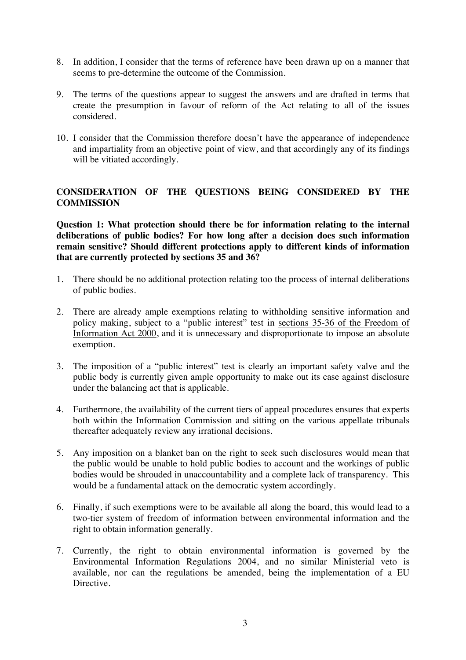- 8. In addition, I consider that the terms of reference have been drawn up on a manner that seems to pre-determine the outcome of the Commission.
- 9. The terms of the questions appear to suggest the answers and are drafted in terms that create the presumption in favour of reform of the Act relating to all of the issues considered.
- 10. I consider that the Commission therefore doesn't have the appearance of independence and impartiality from an objective point of view, and that accordingly any of its findings will be vitiated accordingly.

## **CONSIDERATION OF THE QUESTIONS BEING CONSIDERED BY THE COMMISSION**

**Question 1: What protection should there be for information relating to the internal deliberations of public bodies? For how long after a decision does such information remain sensitive? Should different protections apply to different kinds of information that are currently protected by sections 35 and 36?** 

- 1. There should be no additional protection relating too the process of internal deliberations of public bodies.
- 2. There are already ample exemptions relating to withholding sensitive information and policy making, subject to a "public interest" test in sections 35-36 of the Freedom of Information Act 2000, and it is unnecessary and disproportionate to impose an absolute exemption.
- 3. The imposition of a "public interest" test is clearly an important safety valve and the public body is currently given ample opportunity to make out its case against disclosure under the balancing act that is applicable.
- 4. Furthermore, the availability of the current tiers of appeal procedures ensures that experts both within the Information Commission and sitting on the various appellate tribunals thereafter adequately review any irrational decisions.
- 5. Any imposition on a blanket ban on the right to seek such disclosures would mean that the public would be unable to hold public bodies to account and the workings of public bodies would be shrouded in unaccountability and a complete lack of transparency. This would be a fundamental attack on the democratic system accordingly.
- 6. Finally, if such exemptions were to be available all along the board, this would lead to a two-tier system of freedom of information between environmental information and the right to obtain information generally.
- 7. Currently, the right to obtain environmental information is governed by the Environmental Information Regulations 2004, and no similar Ministerial veto is available, nor can the regulations be amended, being the implementation of a EU Directive.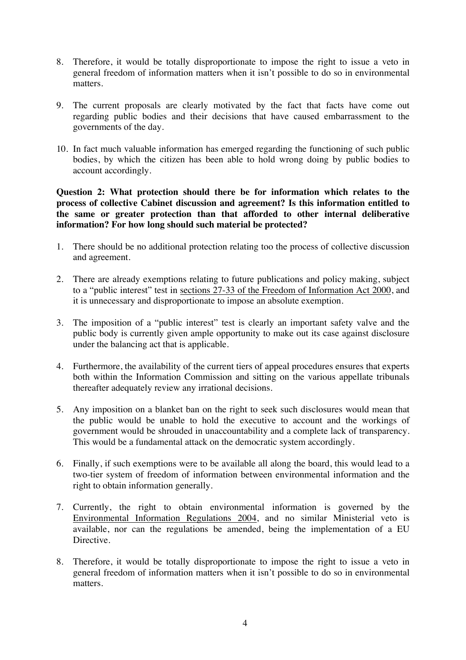- 8. Therefore, it would be totally disproportionate to impose the right to issue a veto in general freedom of information matters when it isn't possible to do so in environmental matters.
- 9. The current proposals are clearly motivated by the fact that facts have come out regarding public bodies and their decisions that have caused embarrassment to the governments of the day.
- 10. In fact much valuable information has emerged regarding the functioning of such public bodies, by which the citizen has been able to hold wrong doing by public bodies to account accordingly.

**Question 2: What protection should there be for information which relates to the process of collective Cabinet discussion and agreement? Is this information entitled to the same or greater protection than that afforded to other internal deliberative information? For how long should such material be protected?** 

- 1. There should be no additional protection relating too the process of collective discussion and agreement.
- 2. There are already exemptions relating to future publications and policy making, subject to a "public interest" test in sections 27-33 of the Freedom of Information Act 2000, and it is unnecessary and disproportionate to impose an absolute exemption.
- 3. The imposition of a "public interest" test is clearly an important safety valve and the public body is currently given ample opportunity to make out its case against disclosure under the balancing act that is applicable.
- 4. Furthermore, the availability of the current tiers of appeal procedures ensures that experts both within the Information Commission and sitting on the various appellate tribunals thereafter adequately review any irrational decisions.
- 5. Any imposition on a blanket ban on the right to seek such disclosures would mean that the public would be unable to hold the executive to account and the workings of government would be shrouded in unaccountability and a complete lack of transparency. This would be a fundamental attack on the democratic system accordingly.
- 6. Finally, if such exemptions were to be available all along the board, this would lead to a two-tier system of freedom of information between environmental information and the right to obtain information generally.
- 7. Currently, the right to obtain environmental information is governed by the Environmental Information Regulations 2004, and no similar Ministerial veto is available, nor can the regulations be amended, being the implementation of a EU Directive.
- 8. Therefore, it would be totally disproportionate to impose the right to issue a veto in general freedom of information matters when it isn't possible to do so in environmental matters.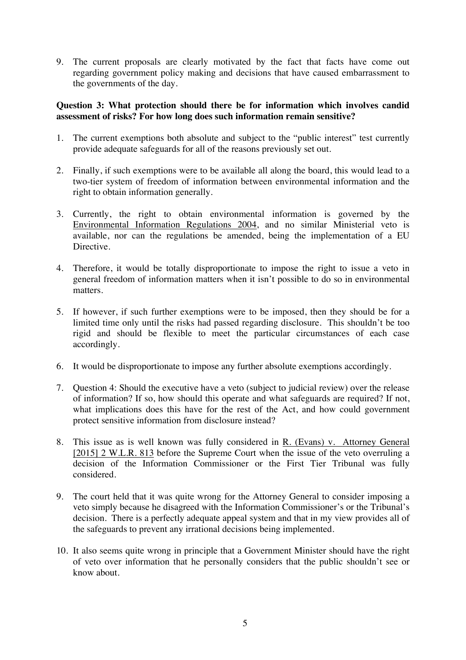9. The current proposals are clearly motivated by the fact that facts have come out regarding government policy making and decisions that have caused embarrassment to the governments of the day.

## **Question 3: What protection should there be for information which involves candid assessment of risks? For how long does such information remain sensitive?**

- 1. The current exemptions both absolute and subject to the "public interest" test currently provide adequate safeguards for all of the reasons previously set out.
- 2. Finally, if such exemptions were to be available all along the board, this would lead to a two-tier system of freedom of information between environmental information and the right to obtain information generally.
- 3. Currently, the right to obtain environmental information is governed by the Environmental Information Regulations 2004, and no similar Ministerial veto is available, nor can the regulations be amended, being the implementation of a EU Directive.
- 4. Therefore, it would be totally disproportionate to impose the right to issue a veto in general freedom of information matters when it isn't possible to do so in environmental matters.
- 5. If however, if such further exemptions were to be imposed, then they should be for a limited time only until the risks had passed regarding disclosure. This shouldn't be too rigid and should be flexible to meet the particular circumstances of each case accordingly.
- 6. It would be disproportionate to impose any further absolute exemptions accordingly.
- 7. Question 4: Should the executive have a veto (subject to judicial review) over the release of information? If so, how should this operate and what safeguards are required? If not, what implications does this have for the rest of the Act, and how could government protect sensitive information from disclosure instead?
- 8. This issue as is well known was fully considered in R. (Evans) v. Attorney General [2015] 2 W.L.R. 813 before the Supreme Court when the issue of the veto overruling a decision of the Information Commissioner or the First Tier Tribunal was fully considered.
- 9. The court held that it was quite wrong for the Attorney General to consider imposing a veto simply because he disagreed with the Information Commissioner's or the Tribunal's decision. There is a perfectly adequate appeal system and that in my view provides all of the safeguards to prevent any irrational decisions being implemented.
- 10. It also seems quite wrong in principle that a Government Minister should have the right of veto over information that he personally considers that the public shouldn't see or know about.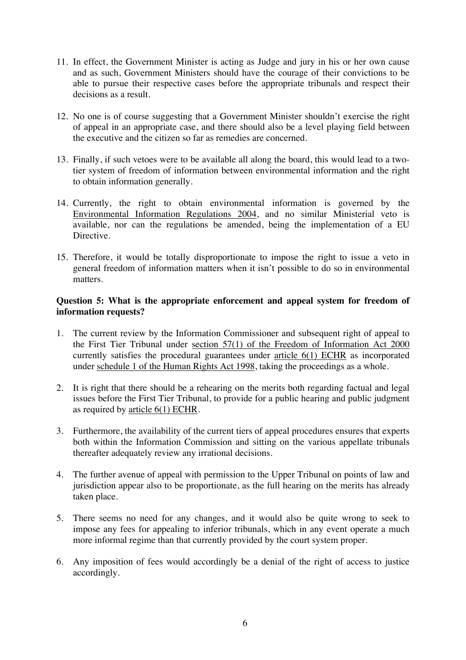- 11. In effect, the Government Minister is acting as Judge and jury in his or her own cause and as such, Government Ministers should have the courage of their convictions to be able to pursue their respective cases before the appropriate tribunals and respect their decisions as a result.
- 12. No one is of course suggesting that a Government Minister shouldn't exercise the right of appeal in an appropriate case, and there should also be a level playing field between the executive and the citizen so far as remedies are concerned.
- 13. Finally, if such vetoes were to be available all along the board, this would lead to a twotier system of freedom of information between environmental information and the right to obtain information generally.
- 14. Currently, the right to obtain environmental information is governed by the Environmental Information Regulations 2004, and no similar Ministerial veto is available, nor can the regulations be amended, being the implementation of a EU Directive.
- 15. Therefore, it would be totally disproportionate to impose the right to issue a veto in general freedom of information matters when it isn't possible to do so in environmental matters.

## **Question 5: What is the appropriate enforcement and appeal system for freedom of information requests?**

- 1. The current review by the Information Commissioner and subsequent right of appeal to the First Tier Tribunal under section 57(1) of the Freedom of Information Act 2000 currently satisfies the procedural guarantees under article 6(1) ECHR as incorporated under schedule 1 of the Human Rights Act 1998, taking the proceedings as a whole.
- 2. It is right that there should be a rehearing on the merits both regarding factual and legal issues before the First Tier Tribunal, to provide for a public hearing and public judgment as required by article 6(1) ECHR.
- 3. Furthermore, the availability of the current tiers of appeal procedures ensures that experts both within the Information Commission and sitting on the various appellate tribunals thereafter adequately review any irrational decisions.
- 4. The further avenue of appeal with permission to the Upper Tribunal on points of law and jurisdiction appear also to be proportionate, as the full hearing on the merits has already taken place.
- 5. There seems no need for any changes, and it would also be quite wrong to seek to impose any fees for appealing to inferior tribunals, which in any event operate a much more informal regime than that currently provided by the court system proper.
- 6. Any imposition of fees would accordingly be a denial of the right of access to justice accordingly.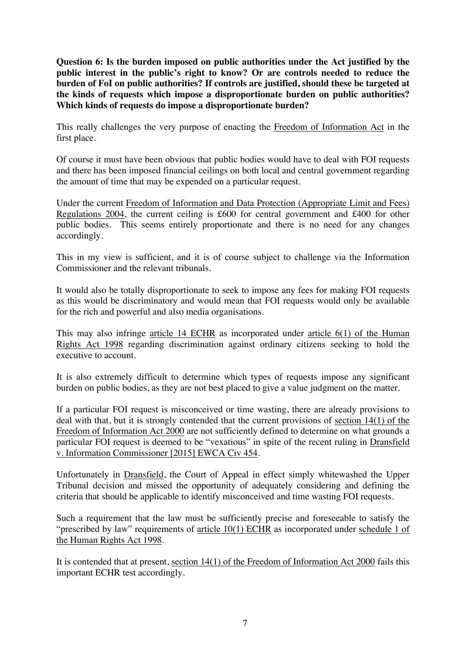**Question 6: Is the burden imposed on public authorities under the Act justified by the**  public interest in the public's right to know? Or are controls needed to reduce the **burden of FoI on public authorities? If controls are justified, should these be targeted at the kinds of requests which impose a disproportionate burden on public authorities? Which kinds of requests do impose a disproportionate burden?** 

This really challenges the very purpose of enacting the Freedom of Information Act in the first place.

Of course it must have been obvious that public bodies would have to deal with FOI requests and there has been imposed financial ceilings on both local and central government regarding the amount of time that may be expended on a particular request.

Under the current Freedom of Information and Data Protection (Appropriate Limit and Fees) Regulations 2004, the current ceiling is £600 for central government and £400 for other public bodies. This seems entirely proportionate and there is no need for any changes accordingly.

This in my view is sufficient, and it is of course subject to challenge via the Information Commissioner and the relevant tribunals.

It would also be totally disproportionate to seek to impose any fees for making FOI requests as this would be discriminatory and would mean that FOI requests would only be available for the rich and powerful and also media organisations.

This may also infringe article 14 ECHR as incorporated under article 6(1) of the Human Rights Act 1998 regarding discrimination against ordinary citizens seeking to hold the executive to account.

It is also extremely difficult to determine which types of requests impose any significant burden on public bodies, as they are not best placed to give a value judgment on the matter.

If a particular FOI request is misconceived or time wasting, there are already provisions to deal with that, but it is strongly contended that the current provisions of section 14(1) of the Freedom of Information Act 2000 are not sufficiently defined to determine on what grounds a particular FOI request is deemed to be "vexatious" in spite of the recent ruling in Dransfield v. Information Commissioner [2015] EWCA Civ 454.

Unfortunately in Dransfield, the Court of Appeal in effect simply whitewashed the Upper Tribunal decision and missed the opportunity of adequately considering and defining the criteria that should be applicable to identify misconceived and time wasting FOI requests.

Such a requirement that the law must be sufficiently precise and foreseeable to satisfy the "prescribed by law" requirements of article 10(1) ECHR as incorporated under schedule 1 of the Human Rights Act 1998.

It is contended that at present, section 14(1) of the Freedom of Information Act 2000 fails this important ECHR test accordingly.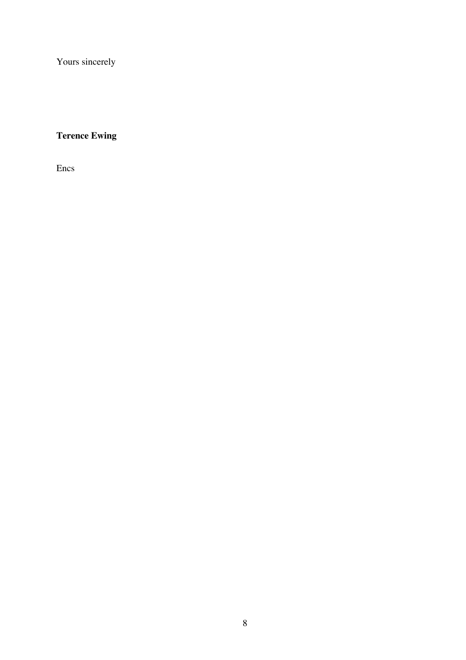Yours sincerely

# **Terence Ewing**

Encs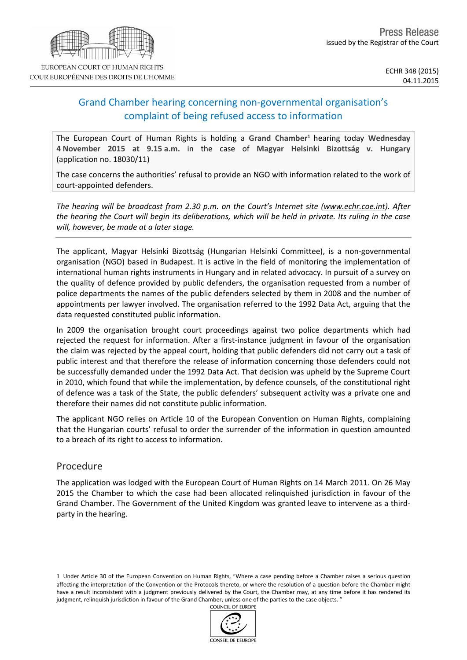## Grand Chamber hearing concerning non-governmental organisation's complaint of being refused access to information

The European Court of Human Rights is holding a **Grand Chamber<sup>1</sup>** hearing today **Wednesday 4 November 2015 at 9.15 a.m.** in the case of **Magyar Helsinki Bizottság v. Hungary** (application no. 18030/11)

The case concerns the authorities' refusal to provide an NGO with information related to the work of court-appointed defenders.

*The hearing will be broadcast from 2.30 p.m. on the Court's Internet site (www.echr.coe.int). After* the hearing the Court will begin its deliberations, which will be held in private. Its ruling in the case *will, however, be made at a later stage.*

The applicant, Magyar Helsinki Bizottság (Hungarian Helsinki Committee), is a non-governmental organisation (NGO) based in Budapest. It is active in the field of monitoring the implementation of international human rights instruments in Hungary and in related advocacy. In pursuit of a survey on the quality of defence provided by public defenders, the organisation requested from a number of police departments the names of the public defenders selected by them in 2008 and the number of appointments per lawyer involved. The organisation referred to the 1992 Data Act, arguing that the data requested constituted public information.

In 2009 the organisation brought court proceedings against two police departments which had rejected the request for information. After a first-instance judgment in favour of the organisation the claim was rejected by the appeal court, holding that public defenders did not carry out a task of public interest and that therefore the release of information concerning those defenders could not be successfully demanded under the 1992 Data Act. That decision was upheld by the Supreme Court in 2010, which found that while the implementation, by defence counsels, of the constitutional right of defence was a task of the State, the public defenders' subsequent activity was a private one and therefore their names did not constitute public information.

The applicant NGO relies on Article 10 of the European Convention on Human Rights, complaining that the Hungarian courts' refusal to order the surrender of the information in question amounted to a breach of its right to access to information.

## Procedure

The application was lodged with the European Court of Human Rights on 14 March 2011. On 26 May 2015 the Chamber to which the case had been allocated relinquished jurisdiction in favour of the Grand Chamber. The Government of the United Kingdom was granted leave to intervene as a thirdparty in the hearing.

1 Under Article 30 of the European Convention on Human Rights, "Where a case pending before a Chamber raises a serious question affecting the interpretation of the Convention or the Protocols thereto, or where the resolution of a question before the Chamber might have a result inconsistent with a judgment previously delivered by the Court, the Chamber may, at any time before it has rendered its judgment, relinquish jurisdiction in favour of the Grand Chamber, unless one of the parties to the case objects. "

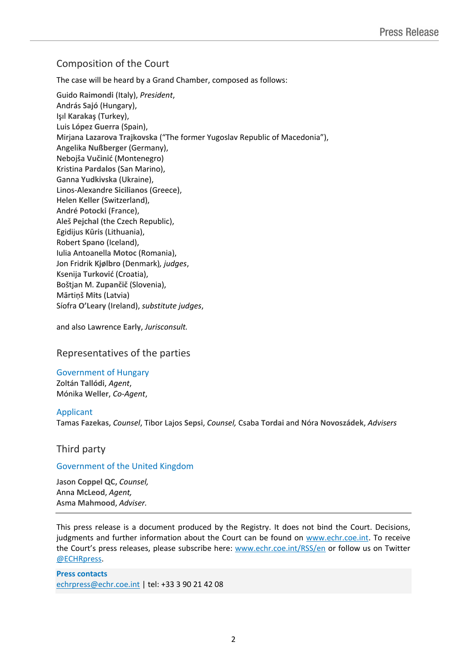## Composition of the Court

The case will be heard by a Grand Chamber, composed as follows:

Guido **Raimondi** (Italy), *President*, András **Sajó** (Hungary), Işıl **Karakaş** (Turkey), Luis **López Guerra** (Spain), Mirjana **Lazarova Trajkovska** ("The former Yugoslav Republic of Macedonia"), Angelika **Nußberger** (Germany), Nebojša **Vučinić** (Montenegro) Kristina **Pardalos** (San Marino), Ganna **Yudkivska** (Ukraine), Linos-Alexandre **Sicilianos** (Greece), Helen **Keller** (Switzerland), André **Potocki** (France), Aleš **Pejchal** (the Czech Republic), Egidijus **Kūris** (Lithuania), Robert **Spano** (Iceland), Iulia Antoanella **Motoc** (Romania), Jon Fridrik **Kjølbro** (Denmark)*, judges*, Ksenija **Turković** (Croatia), Boštjan M. **Zupančič** (Slovenia), Mārtiņš **Mits** (Latvia) Síofra **O'Leary** (Ireland), *substitute judges*,

and also Lawrence **Early**, *Jurisconsult.*

Representatives of the parties

Government of Hungary

Zoltán **Tallódi**, *Agent*, Mónika **Weller**, *Co-Agent*,

### Applicant

Tamas **Fazekas**, *Counsel*, Tibor Lajos **Sepsi**, *Counsel,* Csaba **Tordai** and Nóra **Novoszádek**, *Advisers*

## Third party

### Government of the United Kingdom

Jason **Coppel QC,** *Counsel,* Anna **McLeod**, *Agent,* Asma **Mahmood**, *Adviser.*

This press release is a document produced by the Registry. It does not bind the Court. Decisions, judgments and further information about the Court can be found on [www.echr.coe.int](http://www.echr.coe.int/). To receive the Court's press releases, please subscribe here: [www.echr.coe.int/RSS/en](http://www.echr.coe.int/RSS/en) or follow us on Twitter [@ECHRpress.](https://twitter.com/ECHR_Press)

**Press contacts** [echrpress@echr.coe.int](mailto:Echrpress@echr.coe.int) | tel: +33 3 90 21 42 08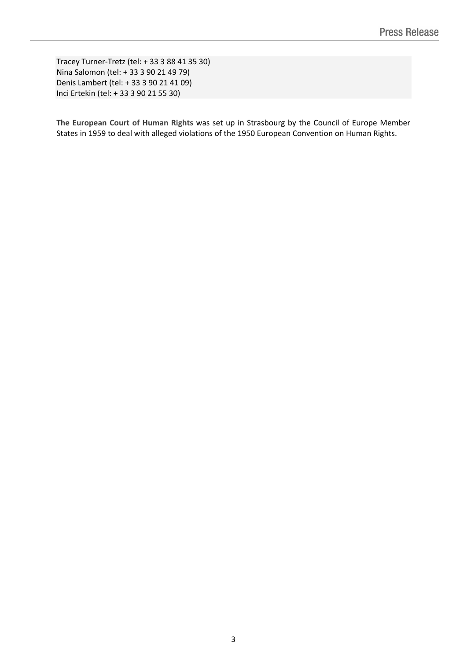Tracey Turner-Tretz (tel: + 33 3 88 41 35 30) Nina Salomon (tel: + 33 3 90 21 49 79) Denis Lambert (tel: + 33 3 90 21 41 09) Inci Ertekin (tel: + 33 3 90 21 55 30)

**The European Court of Human Rights** was set up in Strasbourg by the Council of Europe Member States in 1959 to deal with alleged violations of the 1950 European Convention on Human Rights.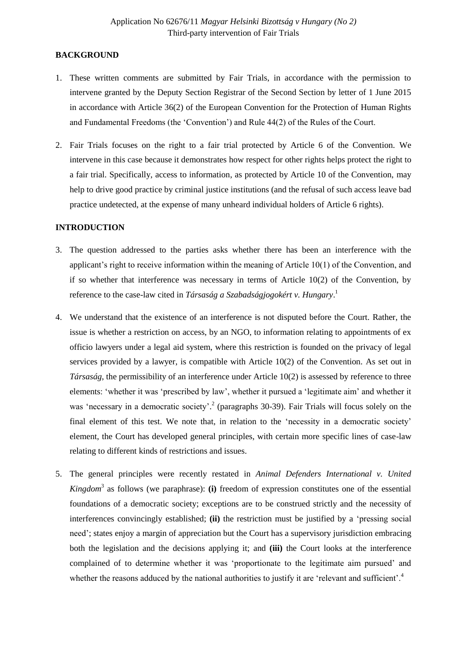### **BACKGROUND**

- 1. These written comments are submitted by Fair Trials, in accordance with the permission to intervene granted by the Deputy Section Registrar of the Second Section by letter of 1 June 2015 in accordance with Article 36(2) of the European Convention for the Protection of Human Rights and Fundamental Freedoms (the 'Convention') and Rule 44(2) of the Rules of the Court.
- 2. Fair Trials focuses on the right to a fair trial protected by Article 6 of the Convention. We intervene in this case because it demonstrates how respect for other rights helps protect the right to a fair trial. Specifically, access to information, as protected by Article 10 of the Convention, may help to drive good practice by criminal justice institutions (and the refusal of such access leave bad practice undetected, at the expense of many unheard individual holders of Article 6 rights).

#### **INTRODUCTION**

- 3. The question addressed to the parties asks whether there has been an interference with the applicant's right to receive information within the meaning of Article 10(1) of the Convention, and if so whether that interference was necessary in terms of Article 10(2) of the Convention, by reference to the case-law cited in *Társaság a Szabadságjogokért v. Hungary*. 1
- 4. We understand that the existence of an interference is not disputed before the Court. Rather, the issue is whether a restriction on access, by an NGO, to information relating to appointments of ex officio lawyers under a legal aid system, where this restriction is founded on the privacy of legal services provided by a lawyer, is compatible with Article 10(2) of the Convention. As set out in *Társaság*, the permissibility of an interference under Article 10(2) is assessed by reference to three elements: 'whether it was 'prescribed by law', whether it pursued a 'legitimate aim' and whether it was 'necessary in a democratic society'.<sup>2</sup> (paragraphs 30-39). Fair Trials will focus solely on the final element of this test. We note that, in relation to the 'necessity in a democratic society' element, the Court has developed general principles, with certain more specific lines of case-law relating to different kinds of restrictions and issues.
- 5. The general principles were recently restated in *Animal Defenders International v. United Kingdom*<sup>3</sup> as follows (we paraphrase): **(i)** freedom of expression constitutes one of the essential foundations of a democratic society; exceptions are to be construed strictly and the necessity of interferences convincingly established; **(ii)** the restriction must be justified by a 'pressing social need'; states enjoy a margin of appreciation but the Court has a supervisory jurisdiction embracing both the legislation and the decisions applying it; and **(iii)** the Court looks at the interference complained of to determine whether it was 'proportionate to the legitimate aim pursued' and whether the reasons adduced by the national authorities to justify it are 'relevant and sufficient'.<sup>4</sup>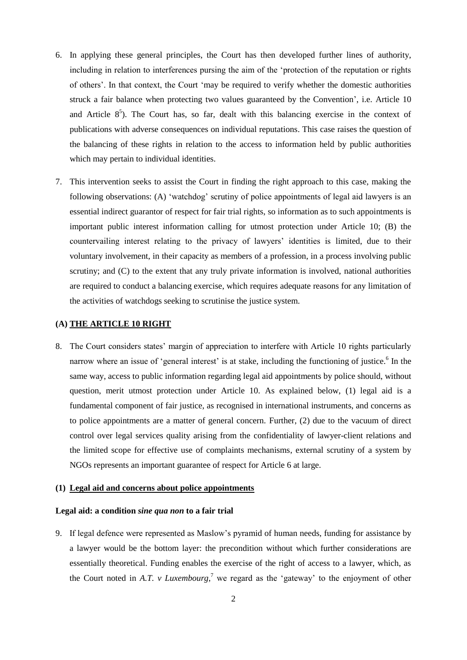- 6. In applying these general principles, the Court has then developed further lines of authority, including in relation to interferences pursing the aim of the 'protection of the reputation or rights of others'. In that context, the Court 'may be required to verify whether the domestic authorities struck a fair balance when protecting two values guaranteed by the Convention', i.e. Article 10 and Article  $8<sup>5</sup>$ ). The Court has, so far, dealt with this balancing exercise in the context of publications with adverse consequences on individual reputations. This case raises the question of the balancing of these rights in relation to the access to information held by public authorities which may pertain to individual identities.
- 7. This intervention seeks to assist the Court in finding the right approach to this case, making the following observations: (A) 'watchdog' scrutiny of police appointments of legal aid lawyers is an essential indirect guarantor of respect for fair trial rights, so information as to such appointments is important public interest information calling for utmost protection under Article 10; (B) the countervailing interest relating to the privacy of lawyers' identities is limited, due to their voluntary involvement, in their capacity as members of a profession, in a process involving public scrutiny; and (C) to the extent that any truly private information is involved, national authorities are required to conduct a balancing exercise, which requires adequate reasons for any limitation of the activities of watchdogs seeking to scrutinise the justice system.

#### **(A) THE ARTICLE 10 RIGHT**

8. The Court considers states' margin of appreciation to interfere with Article 10 rights particularly narrow where an issue of 'general interest' is at stake, including the functioning of justice.<sup>6</sup> In the same way, access to public information regarding legal aid appointments by police should, without question, merit utmost protection under Article 10. As explained below, (1) legal aid is a fundamental component of fair justice, as recognised in international instruments, and concerns as to police appointments are a matter of general concern. Further, (2) due to the vacuum of direct control over legal services quality arising from the confidentiality of lawyer-client relations and the limited scope for effective use of complaints mechanisms, external scrutiny of a system by NGOs represents an important guarantee of respect for Article 6 at large.

#### **(1) Legal aid and concerns about police appointments**

#### **Legal aid: a condition** *sine qua non* **to a fair trial**

9. If legal defence were represented as Maslow's pyramid of human needs, funding for assistance by a lawyer would be the bottom layer: the precondition without which further considerations are essentially theoretical. Funding enables the exercise of the right of access to a lawyer, which, as the Court noted in *A.T. v Luxembourg*<sup>7</sup>, we regard as the 'gateway' to the enjoyment of other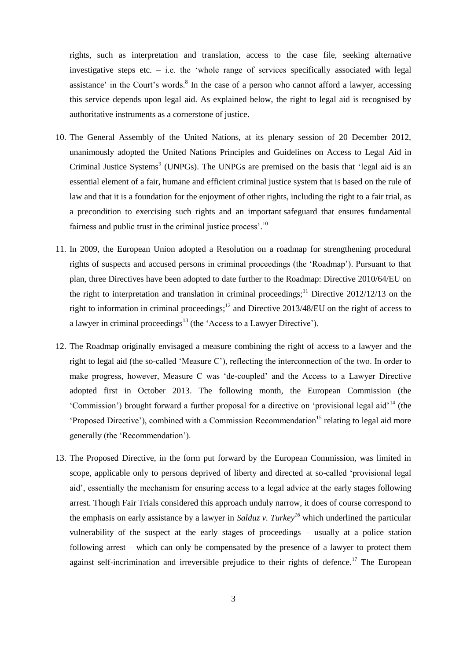rights, such as interpretation and translation, access to the case file, seeking alternative investigative steps etc. – i.e. the 'whole range of services specifically associated with legal assistance' in the Court's words.<sup>8</sup> In the case of a person who cannot afford a lawyer, accessing this service depends upon legal aid. As explained below, the right to legal aid is recognised by authoritative instruments as a cornerstone of justice.

- 10. The General Assembly of the United Nations, at its plenary session of 20 December 2012, unanimously adopted the United Nations Principles and Guidelines on Access to Legal Aid in Criminal Justice Systems<sup>9</sup> (UNPGs). The UNPGs are premised on the basis that 'legal aid is an essential element of a fair, humane and efficient criminal justice system that is based on the rule of law and that it is a foundation for the enjoyment of other rights, including the right to a fair trial, as a precondition to exercising such rights and an important safeguard that ensures fundamental fairness and public trust in the criminal justice process'.<sup>10</sup>
- 11. In 2009, the European Union adopted a Resolution on a roadmap for strengthening procedural rights of suspects and accused persons in criminal proceedings (the 'Roadmap'). Pursuant to that plan, three Directives have been adopted to date further to the Roadmap: Directive 2010/64/EU on the right to interpretation and translation in criminal proceedings;<sup>11</sup> Directive 2012/12/13 on the right to information in criminal proceedings;<sup>12</sup> and Directive 2013/48/EU on the right of access to a lawyer in criminal proceedings<sup>13</sup> (the 'Access to a Lawyer Directive').
- 12. The Roadmap originally envisaged a measure combining the right of access to a lawyer and the right to legal aid (the so-called 'Measure C'), reflecting the interconnection of the two. In order to make progress, however, Measure C was 'de-coupled' and the Access to a Lawyer Directive adopted first in October 2013. The following month, the European Commission (the 'Commission') brought forward a further proposal for a directive on 'provisional legal aid'<sup>14</sup> (the 'Proposed Directive'), combined with a Commission Recommendation<sup>15</sup> relating to legal aid more generally (the 'Recommendation').
- 13. The Proposed Directive, in the form put forward by the European Commission, was limited in scope, applicable only to persons deprived of liberty and directed at so-called 'provisional legal aid', essentially the mechanism for ensuring access to a legal advice at the early stages following arrest. Though Fair Trials considered this approach unduly narrow, it does of course correspond to the emphasis on early assistance by a lawyer in *Salduz v. Turkey<sup>16</sup>* which underlined the particular vulnerability of the suspect at the early stages of proceedings – usually at a police station following arrest – which can only be compensated by the presence of a lawyer to protect them against self-incrimination and irreversible prejudice to their rights of defence.<sup>17</sup> The European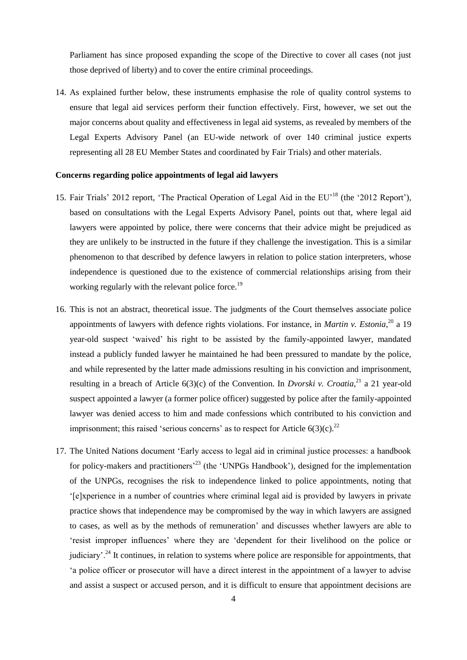Parliament has since proposed expanding the scope of the Directive to cover all cases (not just those deprived of liberty) and to cover the entire criminal proceedings.

14. As explained further below, these instruments emphasise the role of quality control systems to ensure that legal aid services perform their function effectively. First, however, we set out the major concerns about quality and effectiveness in legal aid systems, as revealed by members of the Legal Experts Advisory Panel (an EU-wide network of over 140 criminal justice experts representing all 28 EU Member States and coordinated by Fair Trials) and other materials.

#### **Concerns regarding police appointments of legal aid lawyers**

- 15. Fair Trials' 2012 report, 'The Practical Operation of Legal Aid in the EU'<sup>18</sup> (the '2012 Report'), based on consultations with the Legal Experts Advisory Panel, points out that, where legal aid lawyers were appointed by police, there were concerns that their advice might be prejudiced as they are unlikely to be instructed in the future if they challenge the investigation. This is a similar phenomenon to that described by defence lawyers in relation to police station interpreters, whose independence is questioned due to the existence of commercial relationships arising from their working regularly with the relevant police force.<sup>19</sup>
- 16. This is not an abstract, theoretical issue. The judgments of the Court themselves associate police appointments of lawyers with defence rights violations. For instance, in *Martin v. Estonia*, <sup>20</sup> a 19 year-old suspect 'waived' his right to be assisted by the family-appointed lawyer, mandated instead a publicly funded lawyer he maintained he had been pressured to mandate by the police, and while represented by the latter made admissions resulting in his conviction and imprisonment, resulting in a breach of Article  $6(3)(c)$  of the Convention. In *Dvorski v. Croatia*,<sup>21</sup> a 21 year-old suspect appointed a lawyer (a former police officer) suggested by police after the family-appointed lawyer was denied access to him and made confessions which contributed to his conviction and imprisonment; this raised 'serious concerns' as to respect for Article  $6(3)(c)$ <sup>22</sup>
- 17. The United Nations document 'Early access to legal aid in criminal justice processes: a handbook for policy-makers and practitioners<sup>23</sup> (the 'UNPGs Handbook'), designed for the implementation of the UNPGs, recognises the risk to independence linked to police appointments, noting that '[e]xperience in a number of countries where criminal legal aid is provided by lawyers in private practice shows that independence may be compromised by the way in which lawyers are assigned to cases, as well as by the methods of remuneration' and discusses whether lawyers are able to 'resist improper influences' where they are 'dependent for their livelihood on the police or judiciary'.<sup>24</sup> It continues, in relation to systems where police are responsible for appointments, that 'a police officer or prosecutor will have a direct interest in the appointment of a lawyer to advise and assist a suspect or accused person, and it is difficult to ensure that appointment decisions are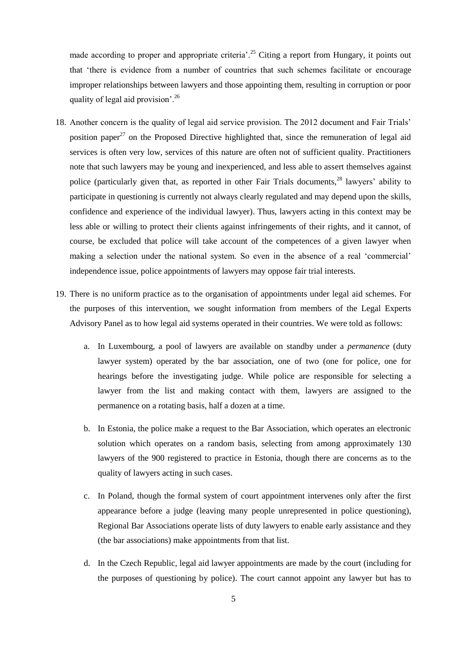made according to proper and appropriate criteria'.<sup>25</sup> Citing a report from Hungary, it points out that 'there is evidence from a number of countries that such schemes facilitate or encourage improper relationships between lawyers and those appointing them, resulting in corruption or poor quality of legal aid provision'.<sup>26</sup>

- 18. Another concern is the quality of legal aid service provision. The 2012 document and Fair Trials' position paper<sup>27</sup> on the Proposed Directive highlighted that, since the remuneration of legal aid services is often very low, services of this nature are often not of sufficient quality. Practitioners note that such lawyers may be young and inexperienced, and less able to assert themselves against police (particularly given that, as reported in other Fair Trials documents,<sup>28</sup> lawyers' ability to participate in questioning is currently not always clearly regulated and may depend upon the skills, confidence and experience of the individual lawyer). Thus, lawyers acting in this context may be less able or willing to protect their clients against infringements of their rights, and it cannot, of course, be excluded that police will take account of the competences of a given lawyer when making a selection under the national system. So even in the absence of a real 'commercial' independence issue, police appointments of lawyers may oppose fair trial interests.
- 19. There is no uniform practice as to the organisation of appointments under legal aid schemes. For the purposes of this intervention, we sought information from members of the Legal Experts Advisory Panel as to how legal aid systems operated in their countries. We were told as follows:
	- a. In Luxembourg, a pool of lawyers are available on standby under a *permanence* (duty lawyer system) operated by the bar association, one of two (one for police, one for hearings before the investigating judge. While police are responsible for selecting a lawyer from the list and making contact with them, lawyers are assigned to the permanence on a rotating basis, half a dozen at a time.
	- b. In Estonia, the police make a request to the Bar Association, which operates an electronic solution which operates on a random basis, selecting from among approximately 130 lawyers of the 900 registered to practice in Estonia, though there are concerns as to the quality of lawyers acting in such cases.
	- c. In Poland, though the formal system of court appointment intervenes only after the first appearance before a judge (leaving many people unrepresented in police questioning), Regional Bar Associations operate lists of duty lawyers to enable early assistance and they (the bar associations) make appointments from that list.
	- d. In the Czech Republic, legal aid lawyer appointments are made by the court (including for the purposes of questioning by police). The court cannot appoint any lawyer but has to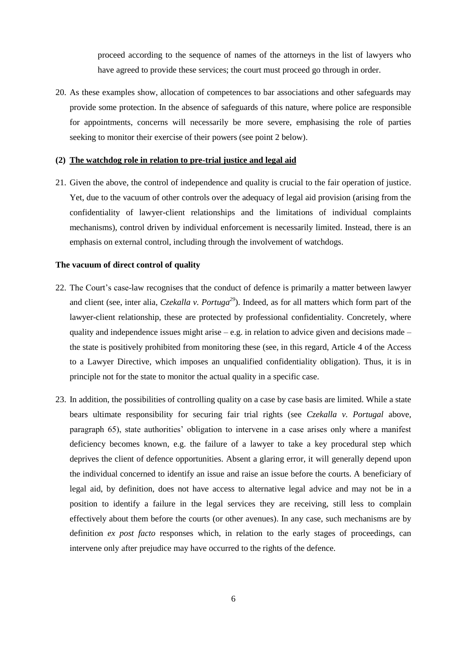proceed according to the sequence of names of the attorneys in the list of lawyers who have agreed to provide these services; the court must proceed go through in order.

20. As these examples show, allocation of competences to bar associations and other safeguards may provide some protection. In the absence of safeguards of this nature, where police are responsible for appointments, concerns will necessarily be more severe, emphasising the role of parties seeking to monitor their exercise of their powers (see point 2 below).

#### **(2) The watchdog role in relation to pre-trial justice and legal aid**

21. Given the above, the control of independence and quality is crucial to the fair operation of justice. Yet, due to the vacuum of other controls over the adequacy of legal aid provision (arising from the confidentiality of lawyer-client relationships and the limitations of individual complaints mechanisms), control driven by individual enforcement is necessarily limited. Instead, there is an emphasis on external control, including through the involvement of watchdogs.

#### **The vacuum of direct control of quality**

- 22. The Court's case-law recognises that the conduct of defence is primarily a matter between lawyer and client (see, inter alia, *Czekalla v. Portuga<sup>29</sup>*). Indeed, as for all matters which form part of the lawyer-client relationship, these are protected by professional confidentiality. Concretely, where quality and independence issues might arise – e.g. in relation to advice given and decisions made – the state is positively prohibited from monitoring these (see, in this regard, Article 4 of the Access to a Lawyer Directive, which imposes an unqualified confidentiality obligation). Thus, it is in principle not for the state to monitor the actual quality in a specific case.
- 23. In addition, the possibilities of controlling quality on a case by case basis are limited. While a state bears ultimate responsibility for securing fair trial rights (see *Czekalla v. Portugal* above, paragraph 65), state authorities' obligation to intervene in a case arises only where a manifest deficiency becomes known, e.g. the failure of a lawyer to take a key procedural step which deprives the client of defence opportunities. Absent a glaring error, it will generally depend upon the individual concerned to identify an issue and raise an issue before the courts. A beneficiary of legal aid, by definition, does not have access to alternative legal advice and may not be in a position to identify a failure in the legal services they are receiving, still less to complain effectively about them before the courts (or other avenues). In any case, such mechanisms are by definition *ex post facto* responses which, in relation to the early stages of proceedings, can intervene only after prejudice may have occurred to the rights of the defence.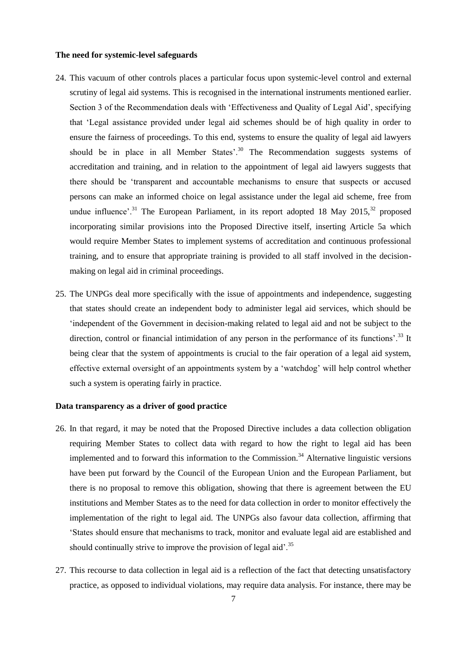#### **The need for systemic-level safeguards**

- 24. This vacuum of other controls places a particular focus upon systemic-level control and external scrutiny of legal aid systems. This is recognised in the international instruments mentioned earlier. Section 3 of the Recommendation deals with 'Effectiveness and Quality of Legal Aid', specifying that 'Legal assistance provided under legal aid schemes should be of high quality in order to ensure the fairness of proceedings. To this end, systems to ensure the quality of legal aid lawyers should be in place in all Member States'. $30$  The Recommendation suggests systems of accreditation and training, and in relation to the appointment of legal aid lawyers suggests that there should be 'transparent and accountable mechanisms to ensure that suspects or accused persons can make an informed choice on legal assistance under the legal aid scheme, free from undue influence'.<sup>31</sup> The European Parliament, in its report adopted 18 May 2015,<sup>32</sup> proposed incorporating similar provisions into the Proposed Directive itself, inserting Article 5a which would require Member States to implement systems of accreditation and continuous professional training, and to ensure that appropriate training is provided to all staff involved in the decisionmaking on legal aid in criminal proceedings.
- 25. The UNPGs deal more specifically with the issue of appointments and independence, suggesting that states should create an independent body to administer legal aid services, which should be 'independent of the Government in decision-making related to legal aid and not be subject to the direction, control or financial intimidation of any person in the performance of its functions'.<sup>33</sup> It being clear that the system of appointments is crucial to the fair operation of a legal aid system, effective external oversight of an appointments system by a 'watchdog' will help control whether such a system is operating fairly in practice.

#### **Data transparency as a driver of good practice**

- 26. In that regard, it may be noted that the Proposed Directive includes a data collection obligation requiring Member States to collect data with regard to how the right to legal aid has been implemented and to forward this information to the Commission. $34$  Alternative linguistic versions have been put forward by the Council of the European Union and the European Parliament, but there is no proposal to remove this obligation, showing that there is agreement between the EU institutions and Member States as to the need for data collection in order to monitor effectively the implementation of the right to legal aid. The UNPGs also favour data collection, affirming that 'States should ensure that mechanisms to track, monitor and evaluate legal aid are established and should continually strive to improve the provision of legal aid'.<sup>35</sup>
- 27. This recourse to data collection in legal aid is a reflection of the fact that detecting unsatisfactory practice, as opposed to individual violations, may require data analysis. For instance, there may be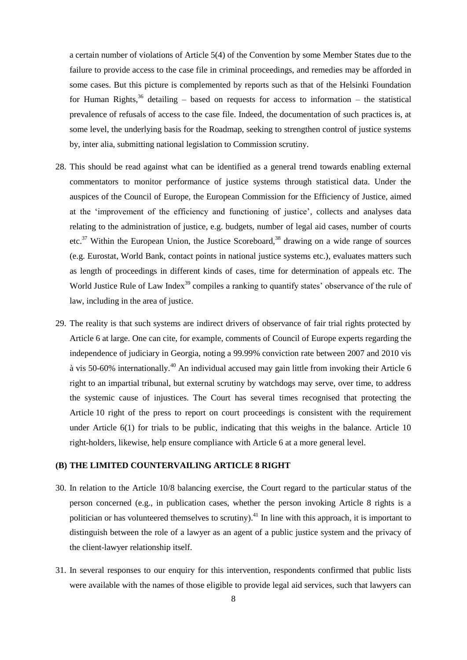a certain number of violations of Article 5(4) of the Convention by some Member States due to the failure to provide access to the case file in criminal proceedings, and remedies may be afforded in some cases. But this picture is complemented by reports such as that of the Helsinki Foundation for Human Rights,<sup>36</sup> detailing – based on requests for access to information – the statistical prevalence of refusals of access to the case file. Indeed, the documentation of such practices is, at some level, the underlying basis for the Roadmap, seeking to strengthen control of justice systems by, inter alia, submitting national legislation to Commission scrutiny.

- 28. This should be read against what can be identified as a general trend towards enabling external commentators to monitor performance of justice systems through statistical data. Under the auspices of the Council of Europe, the European Commission for the Efficiency of Justice, aimed at the 'improvement of the efficiency and functioning of justice', collects and analyses data relating to the administration of justice, e.g. budgets, number of legal aid cases, number of courts etc.<sup>37</sup> Within the European Union, the Justice Scoreboard,  $38$  drawing on a wide range of sources (e.g. Eurostat, World Bank, contact points in national justice systems etc.), evaluates matters such as length of proceedings in different kinds of cases, time for determination of appeals etc. The World Justice Rule of Law Index<sup>39</sup> compiles a ranking to quantify states' observance of the rule of law, including in the area of justice.
- 29. The reality is that such systems are indirect drivers of observance of fair trial rights protected by Article 6 at large. One can cite, for example, comments of Council of Europe experts regarding the independence of judiciary in Georgia, noting a 99.99% conviction rate between 2007 and 2010 vis à vis 50-60% internationally.<sup>40</sup> An individual accused may gain little from invoking their Article 6 right to an impartial tribunal, but external scrutiny by watchdogs may serve, over time, to address the systemic cause of injustices. The Court has several times recognised that protecting the Article 10 right of the press to report on court proceedings is consistent with the requirement under Article 6(1) for trials to be public, indicating that this weighs in the balance. Article 10 right-holders, likewise, help ensure compliance with Article 6 at a more general level.

#### **(B) THE LIMITED COUNTERVAILING ARTICLE 8 RIGHT**

- 30. In relation to the Article 10/8 balancing exercise, the Court regard to the particular status of the person concerned (e.g., in publication cases, whether the person invoking Article 8 rights is a politician or has volunteered themselves to scrutiny).<sup>41</sup> In line with this approach, it is important to distinguish between the role of a lawyer as an agent of a public justice system and the privacy of the client-lawyer relationship itself.
- 31. In several responses to our enquiry for this intervention, respondents confirmed that public lists were available with the names of those eligible to provide legal aid services, such that lawyers can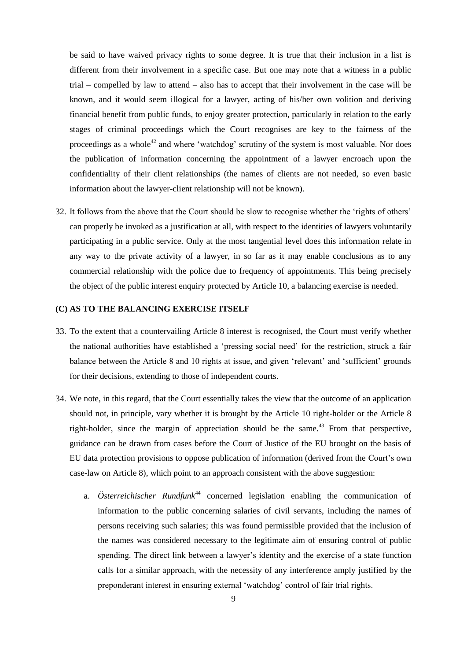be said to have waived privacy rights to some degree. It is true that their inclusion in a list is different from their involvement in a specific case. But one may note that a witness in a public trial – compelled by law to attend – also has to accept that their involvement in the case will be known, and it would seem illogical for a lawyer, acting of his/her own volition and deriving financial benefit from public funds, to enjoy greater protection, particularly in relation to the early stages of criminal proceedings which the Court recognises are key to the fairness of the proceedings as a whole<sup>42</sup> and where 'watchdog' scrutiny of the system is most valuable. Nor does the publication of information concerning the appointment of a lawyer encroach upon the confidentiality of their client relationships (the names of clients are not needed, so even basic information about the lawyer-client relationship will not be known).

32. It follows from the above that the Court should be slow to recognise whether the 'rights of others' can properly be invoked as a justification at all, with respect to the identities of lawyers voluntarily participating in a public service. Only at the most tangential level does this information relate in any way to the private activity of a lawyer, in so far as it may enable conclusions as to any commercial relationship with the police due to frequency of appointments. This being precisely the object of the public interest enquiry protected by Article 10, a balancing exercise is needed.

#### **(C) AS TO THE BALANCING EXERCISE ITSELF**

- 33. To the extent that a countervailing Article 8 interest is recognised, the Court must verify whether the national authorities have established a 'pressing social need' for the restriction, struck a fair balance between the Article 8 and 10 rights at issue, and given 'relevant' and 'sufficient' grounds for their decisions, extending to those of independent courts.
- 34. We note, in this regard, that the Court essentially takes the view that the outcome of an application should not, in principle, vary whether it is brought by the Article 10 right-holder or the Article 8 right-holder, since the margin of appreciation should be the same.<sup>43</sup> From that perspective, guidance can be drawn from cases before the Court of Justice of the EU brought on the basis of EU data protection provisions to oppose publication of information (derived from the Court's own case-law on Article 8), which point to an approach consistent with the above suggestion:
	- a. *Österreichischer Rundfunk*<sup>44</sup> concerned legislation enabling the communication of information to the public concerning salaries of civil servants, including the names of persons receiving such salaries; this was found permissible provided that the inclusion of the names was considered necessary to the legitimate aim of ensuring control of public spending. The direct link between a lawyer's identity and the exercise of a state function calls for a similar approach, with the necessity of any interference amply justified by the preponderant interest in ensuring external 'watchdog' control of fair trial rights.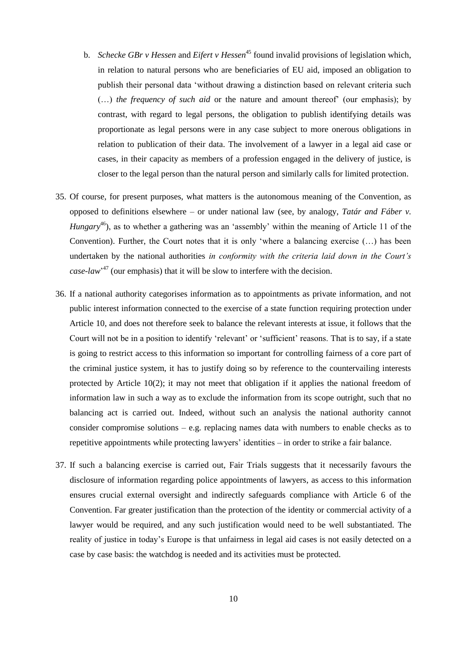- b. *Schecke GBr v Hessen* and *Eifert v Hessen*<sup>45</sup> found invalid provisions of legislation which, in relation to natural persons who are beneficiaries of EU aid, imposed an obligation to publish their personal data 'without drawing a distinction based on relevant criteria such (…) *the frequency of such aid* or the nature and amount thereof' (our emphasis); by contrast, with regard to legal persons, the obligation to publish identifying details was proportionate as legal persons were in any case subject to more onerous obligations in relation to publication of their data. The involvement of a lawyer in a legal aid case or cases, in their capacity as members of a profession engaged in the delivery of justice, is closer to the legal person than the natural person and similarly calls for limited protection.
- 35. Of course, for present purposes, what matters is the autonomous meaning of the Convention, as opposed to definitions elsewhere – or under national law (see, by analogy, *Tatár and Fáber v. Hungary*<sup>46</sup>), as to whether a gathering was an 'assembly' within the meaning of Article 11 of the Convention). Further, the Court notes that it is only 'where a balancing exercise (…) has been undertaken by the national authorities *in conformity with the criteria laid down in the Court's case-law*' <sup>47</sup> (our emphasis) that it will be slow to interfere with the decision.
- 36. If a national authority categorises information as to appointments as private information, and not public interest information connected to the exercise of a state function requiring protection under Article 10, and does not therefore seek to balance the relevant interests at issue, it follows that the Court will not be in a position to identify 'relevant' or 'sufficient' reasons. That is to say, if a state is going to restrict access to this information so important for controlling fairness of a core part of the criminal justice system, it has to justify doing so by reference to the countervailing interests protected by Article 10(2); it may not meet that obligation if it applies the national freedom of information law in such a way as to exclude the information from its scope outright, such that no balancing act is carried out. Indeed, without such an analysis the national authority cannot consider compromise solutions – e.g. replacing names data with numbers to enable checks as to repetitive appointments while protecting lawyers' identities – in order to strike a fair balance.
- 37. If such a balancing exercise is carried out, Fair Trials suggests that it necessarily favours the disclosure of information regarding police appointments of lawyers, as access to this information ensures crucial external oversight and indirectly safeguards compliance with Article 6 of the Convention. Far greater justification than the protection of the identity or commercial activity of a lawyer would be required, and any such justification would need to be well substantiated. The reality of justice in today's Europe is that unfairness in legal aid cases is not easily detected on a case by case basis: the watchdog is needed and its activities must be protected.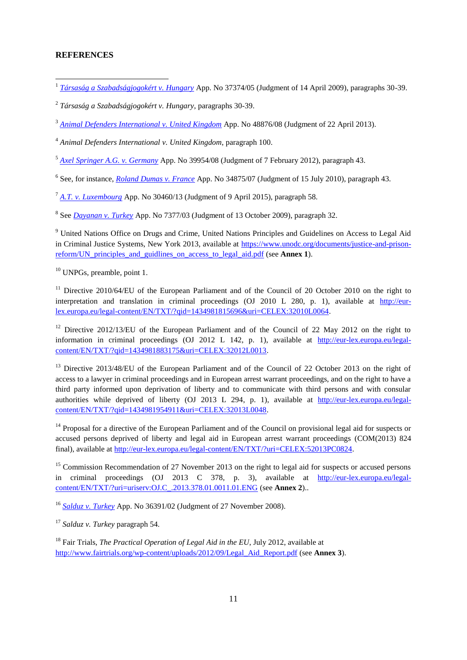#### **REFERENCES**

1 *[Társaság a Szabadságjogokért v. Hungary](http://hudoc.echr.coe.int/sites/eng/pages/search.aspx?i=001-92171)* App. No 37374/05 (Judgment of 14 April 2009), paragraphs 30-39.

2 *Társaság a Szabadságjogokért v. Hungary*, paragraphs 30-39.

<sup>3</sup> *[Animal Defenders International v. United Kingdom](http://hudoc.echr.coe.int/sites/eng/pages/search.aspx?i=001-119244)* App. No 48876/08 (Judgment of 22 April 2013).

<sup>4</sup> *Animal Defenders International v. United Kingdom*, paragraph 100.

<sup>5</sup> *[Axel Springer A.G. v. Germany](http://hudoc.echr.coe.int/sites/eng/pages/search.aspx?i=001-109034)* App. No 39954/08 (Judgment of 7 February 2012), paragraph 43.

6 See, for instance, *[Roland Dumas v. France](http://hudoc.echr.coe.int/sites/eng/pages/search.aspx?i=001-99889)* App. No 34875/07 (Judgment of 15 July 2010), paragraph 43.

<sup>7</sup> *[A.T. v. Luxembourg](http://hudoc.echr.coe.int/sites/eng/pages/search.aspx?i=001-153482)* App. No 30460/13 (Judgment of 9 April 2015), paragraph 58.

8 See *[Dayanan v. Turkey](http://hudoc.echr.coe.int/sites/eng/pages/search.aspx?i=001-95015)* App. No 7377/03 (Judgment of 13 October 2009), paragraph 32.

<sup>9</sup> United Nations Office on Drugs and Crime, United Nations Principles and Guidelines on Access to Legal Aid in Criminal Justice Systems, New York 2013, available at [https://www.unodc.org/documents/justice-and-prison](https://www.unodc.org/documents/justice-and-prison-reform/UN_principles_and_guidlines_on_access_to_legal_aid.pdf)[reform/UN\\_principles\\_and\\_guidlines\\_on\\_access\\_to\\_legal\\_aid.pdf](https://www.unodc.org/documents/justice-and-prison-reform/UN_principles_and_guidlines_on_access_to_legal_aid.pdf) (see **Annex 1**).

<sup>10</sup> UNPGs, preamble, point 1.

<sup>11</sup> Directive 2010/64/EU of the European Parliament and of the Council of 20 October 2010 on the right to interpretation and translation in criminal proceedings (OJ 2010 L 280, p. 1), available at [http://eur](http://eur-lex.europa.eu/legal-content/EN/TXT/?qid=1434981815696&uri=CELEX:32010L0064)[lex.europa.eu/legal-content/EN/TXT/?qid=1434981815696&uri=CELEX:32010L0064.](http://eur-lex.europa.eu/legal-content/EN/TXT/?qid=1434981815696&uri=CELEX:32010L0064) 

<sup>12</sup> Directive 2012/13/EU of the European Parliament and of the Council of 22 May 2012 on the right to information in criminal proceedings (OJ 2012 L 142, p. 1), available at [http://eur-lex.europa.eu/legal](http://eur-lex.europa.eu/legal-content/EN/TXT/?qid=1434981883175&uri=CELEX:32012L0013)[content/EN/TXT/?qid=1434981883175&uri=CELEX:32012L0013.](http://eur-lex.europa.eu/legal-content/EN/TXT/?qid=1434981883175&uri=CELEX:32012L0013)

<sup>13</sup> Directive 2013/48/EU of the European Parliament and of the Council of 22 October 2013 on the right of access to a lawyer in criminal proceedings and in European arrest warrant proceedings, and on the right to have a third party informed upon deprivation of liberty and to communicate with third persons and with consular authorities while deprived of liberty (OJ 2013 L 294, p. 1), available at [http://eur-lex.europa.eu/legal](http://eur-lex.europa.eu/legal-content/EN/TXT/?qid=1434981954911&uri=CELEX:32013L0048)[content/EN/TXT/?qid=1434981954911&uri=CELEX:32013L0048.](http://eur-lex.europa.eu/legal-content/EN/TXT/?qid=1434981954911&uri=CELEX:32013L0048)

<sup>14</sup> Proposal for a directive of the European Parliament and of the Council on provisional legal aid for suspects or accused persons deprived of liberty and legal aid in European arrest warrant proceedings (COM(2013) 824 final), available at [http://eur-lex.europa.eu/legal-content/EN/TXT/?uri=CELEX:52013PC0824.](http://eur-lex.europa.eu/legal-content/EN/TXT/?uri=CELEX:52013PC0824)

<sup>15</sup> Commission Recommendation of 27 November 2013 on the right to legal aid for suspects or accused persons in criminal proceedings (OJ 2013 C 378, p. 3), available at [http://eur-lex.europa.eu/legal](http://eur-lex.europa.eu/legal-content/EN/TXT/?uri=uriserv:OJ.C_.2013.378.01.0011.01.ENG)[content/EN/TXT/?uri=uriserv:OJ.C\\_.2013.378.01.0011.01.ENG](http://eur-lex.europa.eu/legal-content/EN/TXT/?uri=uriserv:OJ.C_.2013.378.01.0011.01.ENG) (see **Annex 2**)..

<sup>16</sup> *[Salduz v. Turkey](http://hudoc.echr.coe.int/sites/eng/pages/search.aspx?i=001-89893)* App. No 36391/02 (Judgment of 27 November 2008).

<sup>17</sup> *Salduz v. Turkey* paragraph 54.

<sup>18</sup> Fair Trials, *The Practical Operation of Legal Aid in the EU*, July 2012, available at [http://www.fairtrials.org/wp-content/uploads/2012/09/Legal\\_Aid\\_Report.pdf](http://www.fairtrials.org/wp-content/uploads/2012/09/Legal_Aid_Report.pdf) (see **Annex 3**).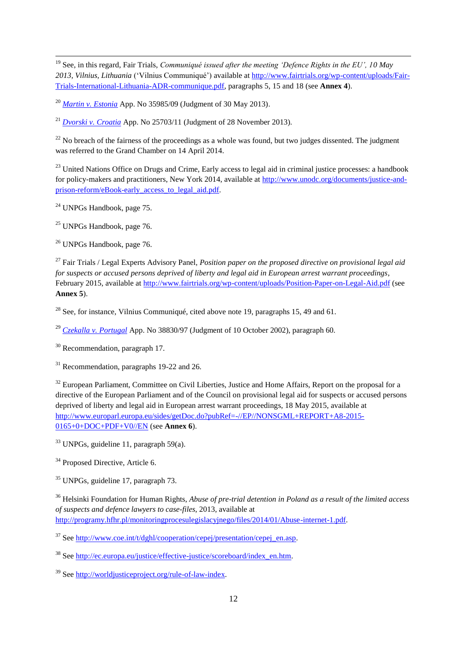<sup>19</sup> See, in this regard, Fair Trials, *Communiqué issued after the meeting 'Defence Rights in the EU', 10 May 2013, Vilnius, Lithuania* ('Vilnius Communiqué') available at [http://www.fairtrials.org/wp-content/uploads/Fair-](http://www.fairtrials.org/wp-content/uploads/Fair-Trials-International-Lithuania-ADR-communique.pdf)[Trials-International-Lithuania-ADR-communique.pdf,](http://www.fairtrials.org/wp-content/uploads/Fair-Trials-International-Lithuania-ADR-communique.pdf) paragraphs 5, 15 and 18 (see **Annex 4**).

<sup>20</sup> *[Martin v. Estonia](http://hudoc.echr.coe.int/sites/eng/pages/search.aspx?i=001-119973)* App. No 35985/09 (Judgment of 30 May 2013).

<sup>21</sup> *[Dvorski v. Croatia](http://hudoc.echr.coe.int/sites/eng/pages/search.aspx?i=001-138579)* App. No 25703/11 (Judgment of 28 November 2013).

 $^{22}$  No breach of the fairness of the proceedings as a whole was found, but two judges dissented. The judgment was referred to the Grand Chamber on 14 April 2014.

 $^{23}$  United Nations Office on Drugs and Crime, Early access to legal aid in criminal justice processes: a handbook for policy-makers and practitioners, New York 2014, available at [http://www.unodc.org/documents/justice-and](http://www.unodc.org/documents/justice-and-prison-reform/eBook-early_access_to_legal_aid.pdf)[prison-reform/eBook-early\\_access\\_to\\_legal\\_aid.pdf.](http://www.unodc.org/documents/justice-and-prison-reform/eBook-early_access_to_legal_aid.pdf) 

<sup>24</sup> UNPGs Handbook, page 75.

 $\ddot{\phantom{a}}$ 

<sup>25</sup> UNPGs Handbook, page 76.

<sup>26</sup> UNPGs Handbook, page 76.

<sup>27</sup> Fair Trials / Legal Experts Advisory Panel, *Position paper on the proposed directive on provisional legal aid for suspects or accused persons deprived of liberty and legal aid in European arrest warrant proceedings*, February 2015, available a[t http://www.fairtrials.org/wp-content/uploads/Position-Paper-on-Legal-Aid.pdf](http://www.fairtrials.org/wp-content/uploads/Position-Paper-on-Legal-Aid.pdf) (see **Annex 5**).

<sup>28</sup> See, for instance, Vilnius Communiqué, cited above note 19, paragraphs 15, 49 and 61.

<sup>29</sup> *[Czekalla v. Portugal](http://hudoc.echr.coe.int/sites/eng/pages/search.aspx?i=001-60676)* App. No 38830/97 (Judgment of 10 October 2002), paragraph 60.

<sup>30</sup> Recommendation, paragraph 17.

 $31$  Recommendation, paragraphs 19-22 and 26.

<sup>32</sup> European Parliament, Committee on Civil Liberties, Justice and Home Affairs, Report on the proposal for a directive of the European Parliament and of the Council on provisional legal aid for suspects or accused persons deprived of liberty and legal aid in European arrest warrant proceedings, 18 May 2015, available at [http://www.europarl.europa.eu/sides/getDoc.do?pubRef=-//EP//NONSGML+REPORT+A8-2015-](http://www.europarl.europa.eu/sides/getDoc.do?pubRef=-//EP//NONSGML+REPORT+A8-2015-0165+0+DOC+PDF+V0//EN) [0165+0+DOC+PDF+V0//EN](http://www.europarl.europa.eu/sides/getDoc.do?pubRef=-//EP//NONSGML+REPORT+A8-2015-0165+0+DOC+PDF+V0//EN) (see **Annex 6**).

 $33$  UNPGs, guideline 11, paragraph 59(a).

<sup>34</sup> Proposed Directive, Article 6.

<sup>35</sup> UNPGs, guideline 17, paragraph 73.

<sup>36</sup> Helsinki Foundation for Human Rights, *Abuse of pre-trial detention in Poland as a result of the limited access of suspects and defence lawyers to case-files*, 2013, available at [http://programy.hfhr.pl/monitoringprocesulegislacyjnego/files/2014/01/Abuse-internet-1.pdf.](http://programy.hfhr.pl/monitoringprocesulegislacyjnego/files/2014/01/Abuse-internet-1.pdf)

 $37$  See [http://www.coe.int/t/dghl/cooperation/cepej/presentation/cepej\\_en.asp.](http://www.coe.int/t/dghl/cooperation/cepej/presentation/cepej_en.asp)

<sup>38</sup> See http://ec.europa.eu/justice/effective-justice/scoreboard/index\_en.htm.

<sup>39</sup> See [http://worldjusticeproject.org/rule-of-law-index.](http://worldjusticeproject.org/rule-of-law-index)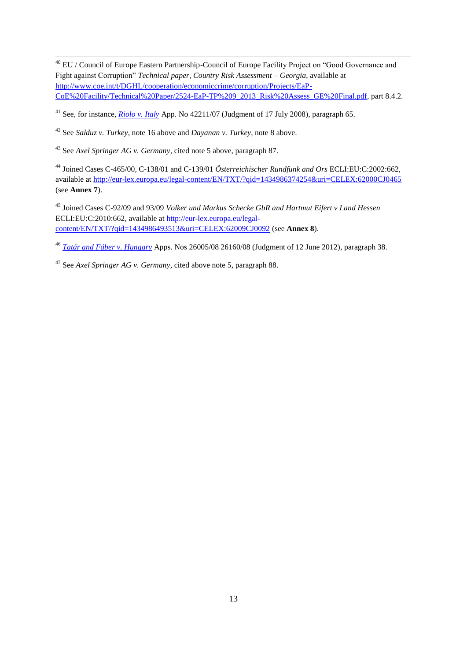$\ddot{\phantom{a}}$ <sup>40</sup> EU / Council of Europe Eastern Partnership-Council of Europe Facility Project on "Good Governance and Fight against Corruption" *Technical paper, Country Risk Assessment – Georgia*, available at [http://www.coe.int/t/DGHL/cooperation/economiccrime/corruption/Projects/EaP-](http://www.coe.int/t/DGHL/cooperation/economiccrime/corruption/Projects/EaP-CoE%20Facility/Technical%20Paper/2524-EaP-TP%209_2013_Risk%20Assess_GE%20Final.pdf)[CoE%20Facility/Technical%20Paper/2524-EaP-TP%209\\_2013\\_Risk%20Assess\\_GE%20Final.pdf,](http://www.coe.int/t/DGHL/cooperation/economiccrime/corruption/Projects/EaP-CoE%20Facility/Technical%20Paper/2524-EaP-TP%209_2013_Risk%20Assess_GE%20Final.pdf) part 8.4.2.

<sup>41</sup> See, for instance, *[Riolo v. Italy](http://hudoc.echr.coe.int/sites/eng/pages/search.aspx?i=001-87662)* App. No 42211/07 (Judgment of 17 July 2008), paragraph 65.

<sup>42</sup> See *Salduz v. Turkey*, note 16 above and *Dayanan v. Turkey*, note 8 above.

<sup>43</sup> See *Axel Springer AG v. Germany*, cited note 5 above, paragraph 87.

<sup>44</sup> Joined Cases C-465/00, C-138/01 and C-139/01 *Österreichischer Rundfunk and Ors* ECLI:EU:C:2002:662, available at<http://eur-lex.europa.eu/legal-content/EN/TXT/?qid=1434986374254&uri=CELEX:62000CJ0465> (see **Annex 7**).

<sup>45</sup> Joined Cases C-92/09 and 93/09 *Volker und Markus Schecke GbR and Hartmut Eifert v Land Hessen* ECLI:EU:C:2010:662, available at [http://eur-lex.europa.eu/legal](http://eur-lex.europa.eu/legal-content/EN/TXT/?qid=1434986493513&uri=CELEX:62009CJ0092)[content/EN/TXT/?qid=1434986493513&uri=CELEX:62009CJ0092](http://eur-lex.europa.eu/legal-content/EN/TXT/?qid=1434986493513&uri=CELEX:62009CJ0092) (see **Annex 8**).

<sup>46</sup> *[Tatár and Fáber v. Hungary](http://hudoc.echr.coe.int/sites/eng/pages/search.aspx?i=001-111421)* Apps. Nos 26005/08 26160/08 (Judgment of 12 June 2012), paragraph 38.

<sup>47</sup> See *Axel Springer AG v. Germany*, cited above note 5, paragraph 88.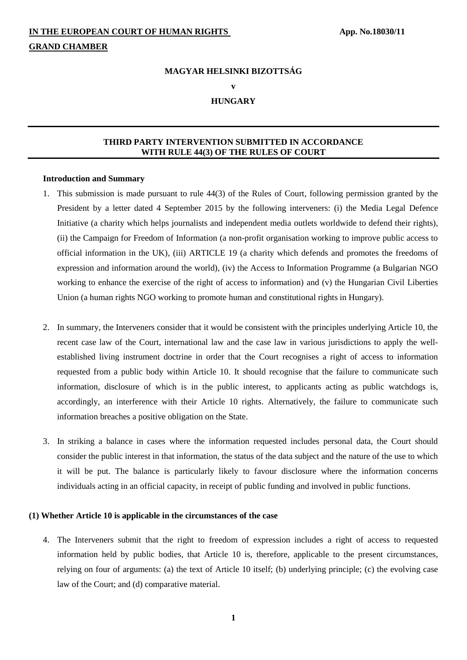#### **MAGYAR HELSINKI BIZOTTSÁG**

**v**

#### **HUNGARY**

#### **THIRD PARTY INTERVENTION SUBMITTED IN ACCORDANCE WITH RULE 44(3) OF THE RULES OF COURT**

#### **Introduction and Summary**

- 1. This submission is made pursuant to rule 44(3) of the Rules of Court, following permission granted by the President by a letter dated 4 September 2015 by the following interveners: (i) the Media Legal Defence Initiative (a charity which helps journalists and independent media outlets worldwide to defend their rights), (ii) the Campaign for Freedom of Information (a non-profit organisation working to improve public access to official information in the UK), (iii) ARTICLE 19 (a charity which defends and promotes the freedoms of expression and information around the world), (iv) the Access to Information Programme (a Bulgarian NGO working to enhance the exercise of the right of access to information) and (v) the Hungarian Civil Liberties Union (a human rights NGO working to promote human and constitutional rights in Hungary).
- 2. In summary, the Interveners consider that it would be consistent with the principles underlying Article 10, the recent case law of the Court, international law and the case law in various jurisdictions to apply the wellestablished living instrument doctrine in order that the Court recognises a right of access to information requested from a public body within Article 10. It should recognise that the failure to communicate such information, disclosure of which is in the public interest, to applicants acting as public watchdogs is, accordingly, an interference with their Article 10 rights. Alternatively, the failure to communicate such information breaches a positive obligation on the State.
- 3. In striking a balance in cases where the information requested includes personal data, the Court should consider the public interest in that information, the status of the data subject and the nature of the use to which it will be put. The balance is particularly likely to favour disclosure where the information concerns individuals acting in an official capacity, in receipt of public funding and involved in public functions.

#### **(1) Whether Article 10 is applicable in the circumstances of the case**

4. The Interveners submit that the right to freedom of expression includes a right of access to requested information held by public bodies, that Article 10 is, therefore, applicable to the present circumstances, relying on four of arguments: (a) the text of Article 10 itself; (b) underlying principle; (c) the evolving case law of the Court; and (d) comparative material.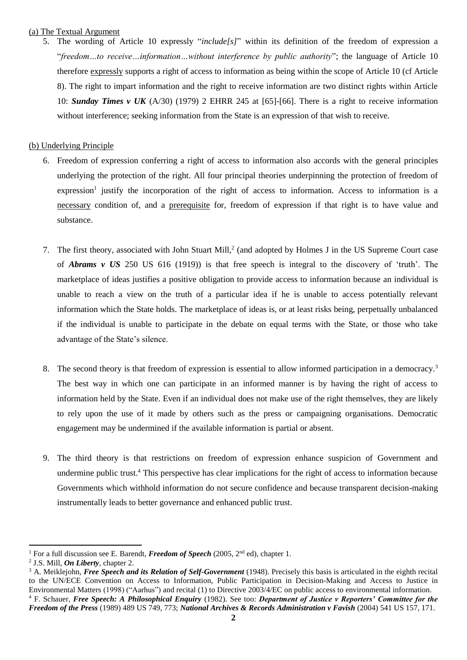#### (a) The Textual Argument

5. The wording of Article 10 expressly "*include[s]*" within its definition of the freedom of expression a "*freedom…to receive…information…without interference by public authority*"; the language of Article 10 therefore expressly supports a right of access to information as being within the scope of Article 10 (cf Article 8). The right to impart information and the right to receive information are two distinct rights within Article 10: *Sunday Times v UK* (A/30) (1979) 2 EHRR 245 at [65]-[66]. There is a right to receive information without interference; seeking information from the State is an expression of that wish to receive.

#### (b) Underlying Principle

- 6. Freedom of expression conferring a right of access to information also accords with the general principles underlying the protection of the right. All four principal theories underpinning the protection of freedom of expression<sup>1</sup> justify the incorporation of the right of access to information. Access to information is a necessary condition of, and a prerequisite for, freedom of expression if that right is to have value and substance.
- 7. The first theory, associated with John Stuart Mill,<sup>2</sup> (and adopted by Holmes J in the US Supreme Court case of *Abrams v US* 250 US 616 (1919)) is that free speech is integral to the discovery of 'truth'. The marketplace of ideas justifies a positive obligation to provide access to information because an individual is unable to reach a view on the truth of a particular idea if he is unable to access potentially relevant information which the State holds. The marketplace of ideas is, or at least risks being, perpetually unbalanced if the individual is unable to participate in the debate on equal terms with the State, or those who take advantage of the State's silence.
- 8. The second theory is that freedom of expression is essential to allow informed participation in a democracy.<sup>3</sup> The best way in which one can participate in an informed manner is by having the right of access to information held by the State. Even if an individual does not make use of the right themselves, they are likely to rely upon the use of it made by others such as the press or campaigning organisations. Democratic engagement may be undermined if the available information is partial or absent.
- 9. The third theory is that restrictions on freedom of expression enhance suspicion of Government and undermine public trust.<sup>4</sup> This perspective has clear implications for the right of access to information because Governments which withhold information do not secure confidence and because transparent decision-making instrumentally leads to better governance and enhanced public trust.

l

<sup>&</sup>lt;sup>1</sup> For a full discussion see E. Barendt, *Freedom of Speech* (2005, 2<sup>nd</sup> ed), chapter 1.

<sup>2</sup> J.S. Mill, *On Liberty*, chapter 2.

<sup>&</sup>lt;sup>3</sup> A. Meiklejohn, *Free Speech and its Relation of Self-Government* (1948). Precisely this basis is articulated in the eighth recital to the UN/ECE Convention on Access to Information, Public Participation in Decision-Making and Access to Justice in Environmental Matters (1998) ("Aarhus") and recital (1) to Directive 2003/4/EC on public access to environmental information. <sup>4</sup> F. Schauer, *Free Speech: A Philosophical Enquiry* (1982). See too: *Department of Justice v Reporters' Committee for the Freedom of the Press* (1989) 489 US 749, 773; *National Archives & Records Administration v Favish* (2004) 541 US 157, 171.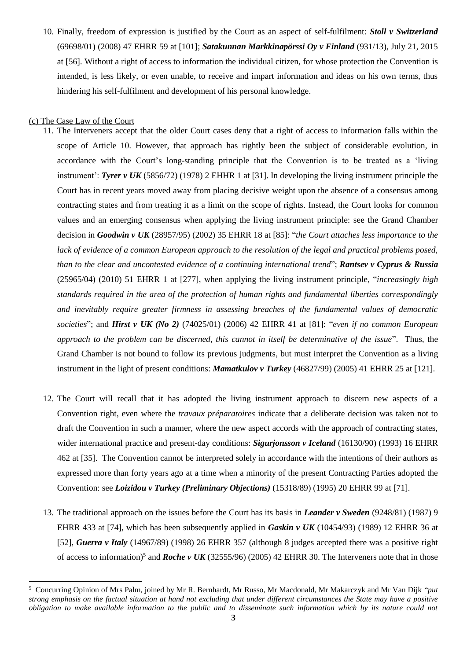10. Finally, freedom of expression is justified by the Court as an aspect of self-fulfilment: *Stoll v Switzerland* (69698/01) (2008) 47 EHRR 59 at [101]; *Satakunnan Markkinapörssi Oy v Finland* (931/13), July 21, 2015 at [56]. Without a right of access to information the individual citizen, for whose protection the Convention is intended, is less likely, or even unable, to receive and impart information and ideas on his own terms, thus hindering his self-fulfilment and development of his personal knowledge.

#### (c) The Case Law of the Court

l

- 11. The Interveners accept that the older Court cases deny that a right of access to information falls within the scope of Article 10. However, that approach has rightly been the subject of considerable evolution, in accordance with the Court's long-standing principle that the Convention is to be treated as a 'living instrument': *Tyrer v UK* (5856/72) (1978) 2 EHHR 1 at [31]. In developing the living instrument principle the Court has in recent years moved away from placing decisive weight upon the absence of a consensus among contracting states and from treating it as a limit on the scope of rights. Instead, the Court looks for common values and an emerging consensus when applying the living instrument principle: see the Grand Chamber decision in *Goodwin v UK* (28957/95) (2002) 35 EHRR 18 at [85]: "*the Court attaches less importance to the lack of evidence of a common European approach to the resolution of the legal and practical problems posed, than to the clear and uncontested evidence of a continuing international trend*"; *Rantsev v Cyprus & Russia* (25965/04) (2010) 51 EHRR 1 at [277], when applying the living instrument principle*,* "*increasingly high standards required in the area of the protection of human rights and fundamental liberties correspondingly and inevitably require greater firmness in assessing breaches of the fundamental values of democratic societies*"; and *Hirst v UK (No 2)* (74025/01) (2006) 42 EHRR 41 at [81]: "*even if no common European approach to the problem can be discerned, this cannot in itself be determinative of the issue*". Thus, the Grand Chamber is not bound to follow its previous judgments, but must interpret the Convention as a living instrument in the light of present conditions: *Mamatkulov v Turkey* (46827/99) (2005) 41 EHRR 25 at [121].
- 12. The Court will recall that it has adopted the living instrument approach to discern new aspects of a Convention right, even where the *travaux préparatoires* indicate that a deliberate decision was taken not to draft the Convention in such a manner, where the new aspect accords with the approach of contracting states, wider international practice and present-day conditions: *Sigurjonsson v Iceland* (16130/90) (1993) 16 EHRR 462 at [35]. The Convention cannot be interpreted solely in accordance with the intentions of their authors as expressed more than forty years ago at a time when a minority of the present Contracting Parties adopted the Convention: see *Loizidou v Turkey (Preliminary Objections)* (15318/89) (1995) 20 EHRR 99 at [71].
- 13. The traditional approach on the issues before the Court has its basis in *Leander v Sweden* (9248/81) (1987) 9 EHRR 433 at [74], which has been subsequently applied in *Gaskin v UK* (10454/93) (1989) 12 EHRR 36 at [52], *Guerra v Italy* (14967/89) (1998) 26 EHRR 357 (although 8 judges accepted there was a positive right of access to information)<sup>5</sup> and *Roche v UK* (32555/96) (2005) 42 EHRR 30. The Interveners note that in those

<sup>5</sup> Concurring Opinion of Mrs Palm, joined by Mr R. Bernhardt, Mr Russo, Mr Macdonald, Mr Makarczyk and Mr Van Dijk "*put strong emphasis on the factual situation at hand not excluding that under different circumstances the State may have a positive obligation to make available information to the public and to disseminate such information which by its nature could not*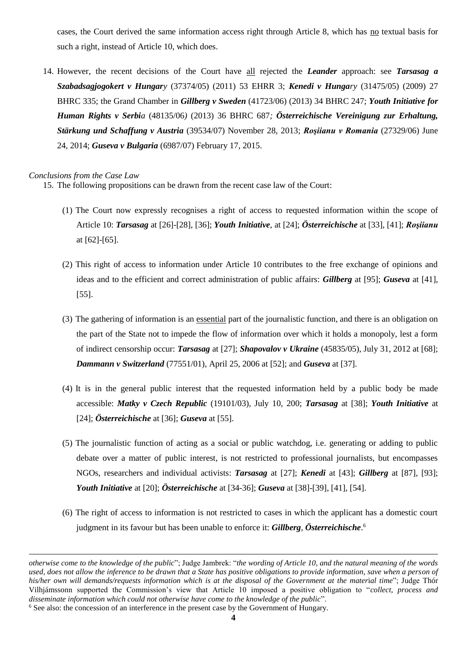cases, the Court derived the same information access right through Article 8, which has no textual basis for such a right, instead of Article 10, which does.

14. However, the recent decisions of the Court have all rejected the *Leander* approach: see *Tarsasag a Szabadsagjogokert v Hungary* (37374/05) (2011) 53 EHRR 3; *Kenedi v Hungary* (31475/05) (2009) 27 BHRC 335; the Grand Chamber in *Gillberg v Sweden* (41723/06) (2013) 34 BHRC 247; *Youth Initiative for Human Rights v Serbia* (48135/06*)* (2013) 36 BHRC 687*; Österreichische Vereinigung zur Erhaltung, Stärkung und Schaffung v Austria* (39534/07) November 28, 2013; *Roşiianu v Romania* (27329/06) June 24, 2014; *Guseva v Bulgaria* (6987/07) February 17, 2015.

#### *Conclusions from the Case Law*

l

15. The following propositions can be drawn from the recent case law of the Court:

- (1) The Court now expressly recognises a right of access to requested information within the scope of Article 10: *Tarsasag* at [26]-[28], [36]; *Youth Initiative*, at [24]; *Österreichische* at [33], [41]; *Roşiianu* at [62]-[65].
- (2) This right of access to information under Article 10 contributes to the free exchange of opinions and ideas and to the efficient and correct administration of public affairs: *Gillberg* at [95]; *Guseva* at [41], [55].
- (3) The gathering of information is an essential part of the journalistic function, and there is an obligation on the part of the State not to impede the flow of information over which it holds a monopoly, lest a form of indirect censorship occur: *Tarsasag* at [27]; *Shapovalov v Ukraine* (45835/05), July 31, 2012 at [68]; *Dammann v Switzerland* (77551/01), April 25, 2006 at [52]; and *Guseva* at [37].
- (4) It is in the general public interest that the requested information held by a public body be made accessible: *Matky v Czech Republic* (19101/03), July 10, 200; *Tarsasag* at [38]; *Youth Initiative* at [24]; *Österreichische* at [36]; *Guseva* at [55].
- (5) The journalistic function of acting as a social or public watchdog, i.e. generating or adding to public debate over a matter of public interest, is not restricted to professional journalists, but encompasses NGOs, researchers and individual activists: *Tarsasag* at [27]; *Kenedi* at [43]; *Gillberg* at [87], [93]; *Youth Initiative* at [20]; *Österreichische* at [34-36]; *Guseva* at [38]-[39], [41], [54].
- (6) The right of access to information is not restricted to cases in which the applicant has a domestic court judgment in its favour but has been unable to enforce it: *Gillberg*, *Österreichische*. 6

*otherwise come to the knowledge of the public*"; Judge Jambrek: "*the wording of Article 10, and the natural meaning of the words used, does not allow the inference to be drawn that a State has positive obligations to provide information, save when a person of his/her own will demands/requests information which is at the disposal of the Government at the mater*i*al time*"; Judge Thór Vilhjámssonn supported the Commission's view that Article 10 imposed a positive obligation to "*collect, process and disseminate information which could not otherwise have come to the knowledge of the public*".

<sup>6</sup> See also: the concession of an interference in the present case by the Government of Hungary.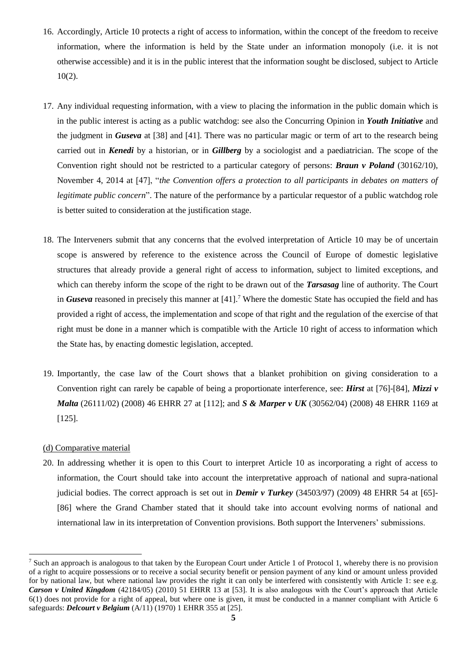- 16. Accordingly, Article 10 protects a right of access to information, within the concept of the freedom to receive information, where the information is held by the State under an information monopoly (i.e. it is not otherwise accessible) and it is in the public interest that the information sought be disclosed, subject to Article 10(2).
- 17. Any individual requesting information, with a view to placing the information in the public domain which is in the public interest is acting as a public watchdog: see also the Concurring Opinion in *Youth Initiative* and the judgment in *Guseva* at [38] and [41]. There was no particular magic or term of art to the research being carried out in *Kenedi* by a historian, or in *Gillberg* by a sociologist and a paediatrician. The scope of the Convention right should not be restricted to a particular category of persons: *Braun v Poland* (30162/10), November 4, 2014 at [47], "*the Convention offers a protection to all participants in debates on matters of legitimate public concern*". The nature of the performance by a particular requestor of a public watchdog role is better suited to consideration at the justification stage.
- 18. The Interveners submit that any concerns that the evolved interpretation of Article 10 may be of uncertain scope is answered by reference to the existence across the Council of Europe of domestic legislative structures that already provide a general right of access to information, subject to limited exceptions, and which can thereby inform the scope of the right to be drawn out of the *Tarsasag* line of authority. The Court in *Guseva* reasoned in precisely this manner at [41].<sup>7</sup> Where the domestic State has occupied the field and has provided a right of access, the implementation and scope of that right and the regulation of the exercise of that right must be done in a manner which is compatible with the Article 10 right of access to information which the State has, by enacting domestic legislation, accepted.
- 19. Importantly, the case law of the Court shows that a blanket prohibition on giving consideration to a Convention right can rarely be capable of being a proportionate interference, see: *Hirst* at [76]-[84], *Mizzi v Malta* (26111/02) (2008) 46 EHRR 27 at [112]; and *S & Marper v UK* (30562/04) (2008) 48 EHRR 1169 at [125].

#### (d) Comparative material

l

20. In addressing whether it is open to this Court to interpret Article 10 as incorporating a right of access to information, the Court should take into account the interpretative approach of national and supra-national judicial bodies. The correct approach is set out in *Demir v Turkey* (34503/97) (2009) 48 EHRR 54 at [65]- [86] where the Grand Chamber stated that it should take into account evolving norms of national and international law in its interpretation of Convention provisions. Both support the Interveners' submissions.

<sup>&</sup>lt;sup>7</sup> Such an approach is analogous to that taken by the European Court under Article 1 of Protocol 1, whereby there is no provision of a right to acquire possessions or to receive a social security benefit or pension payment of any kind or amount unless provided for by national law, but where national law provides the right it can only be interfered with consistently with Article 1: see e.g. *Carson v United Kingdom* (42184/05) (2010) 51 EHRR 13 at [53]. It is also analogous with the Court's approach that Article 6(1) does not provide for a right of appeal, but where one is given, it must be conducted in a manner compliant with Article 6 safeguards: *Delcourt v Belgium* (A/11) (1970) 1 EHRR 355 at [25].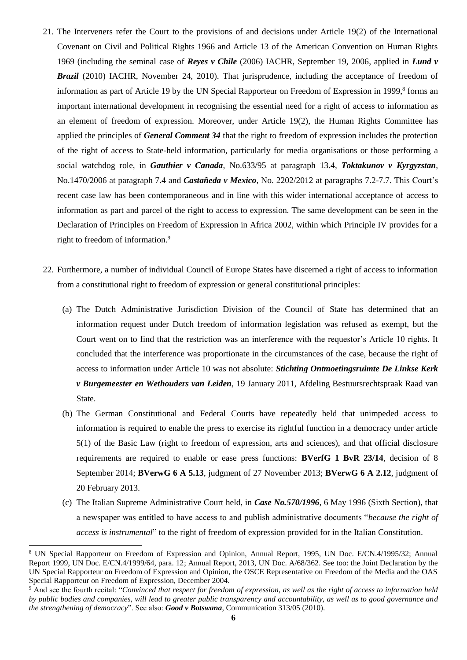- 21. The Interveners refer the Court to the provisions of and decisions under Article 19(2) of the International Covenant on Civil and Political Rights 1966 and Article 13 of the American Convention on Human Rights 1969 (including the seminal case of *Reyes v Chile* (2006) IACHR, September 19, 2006, applied in *Lund v Brazil* (2010) IACHR, November 24, 2010). That jurisprudence, including the acceptance of freedom of information as part of Article 19 by the UN Special Rapporteur on Freedom of Expression in 1999,<sup>8</sup> forms an important international development in recognising the essential need for a right of access to information as an element of freedom of expression. Moreover, under Article 19(2), the Human Rights Committee has applied the principles of *General Comment 34* that the right to freedom of expression includes the protection of the right of access to State-held information, particularly for media organisations or those performing a social watchdog role, in *Gauthier v Canada*, No.633/95 at paragraph 13.4, *Toktakunov v Kyrgyzstan*, No.1470/2006 at paragraph 7.4 and *Castañeda v Mexico*, No. 2202/2012 at paragraphs 7.2-7.7. This Court's recent case law has been contemporaneous and in line with this wider international acceptance of access to information as part and parcel of the right to access to expression. The same development can be seen in the Declaration of Principles on Freedom of Expression in Africa 2002, within which Principle IV provides for a right to freedom of information.<sup>9</sup>
- 22. Furthermore, a number of individual Council of Europe States have discerned a right of access to information from a constitutional right to freedom of expression or general constitutional principles:
	- (a) The Dutch Administrative Jurisdiction Division of the Council of State has determined that an information request under Dutch freedom of information legislation was refused as exempt, but the Court went on to find that the restriction was an interference with the requestor's Article 10 rights. It concluded that the interference was proportionate in the circumstances of the case, because the right of access to information under Article 10 was not absolute: *Stichting Ontmoetingsruimte De Linkse Kerk v Burgemeester en Wethouders van Leiden*, 19 January 2011, Afdeling Bestuursrechtspraak Raad van State.
	- (b) The German Constitutional and Federal Courts have repeatedly held that unimpeded access to information is required to enable the press to exercise its rightful function in a democracy under article 5(1) of the Basic Law (right to freedom of expression, arts and sciences), and that official disclosure requirements are required to enable or ease press functions: **BVerfG 1 BvR 23/14**, decision of 8 September 2014; **BVerwG 6 A 5.13**, judgment of 27 November 2013; **BVerwG 6 A 2.12**, judgment of 20 February 2013.
	- (c) The Italian Supreme Administrative Court held, in *Case No.570/1996*, 6 May 1996 (Sixth Section), that a newspaper was entitled to have access to and publish administrative documents "*because the right of access is instrumental*" to the right of freedom of expression provided for in the Italian Constitution.

l

<sup>8</sup> UN Special Rapporteur on Freedom of Expression and Opinion, Annual Report, 1995, UN Doc. E/CN.4/1995/32; Annual Report 1999, UN Doc. E/CN.4/1999/64, para. 12; Annual Report, 2013, UN Doc. A/68/362. See too: the Joint Declaration by the UN Special Rapporteur on Freedom of Expression and Opinion, the OSCE Representative on Freedom of the Media and the OAS Special Rapporteur on Freedom of Expression, December 2004.

<sup>9</sup> And see the fourth recital: "*Convinced that respect for freedom of expression, as well as the right of access to information held by public bodies and companies, will lead to greater public transparency and accountability, as well as to good governance and the strengthening of democracy*". See also: *Good v Botswana*, Communication 313/05 (2010).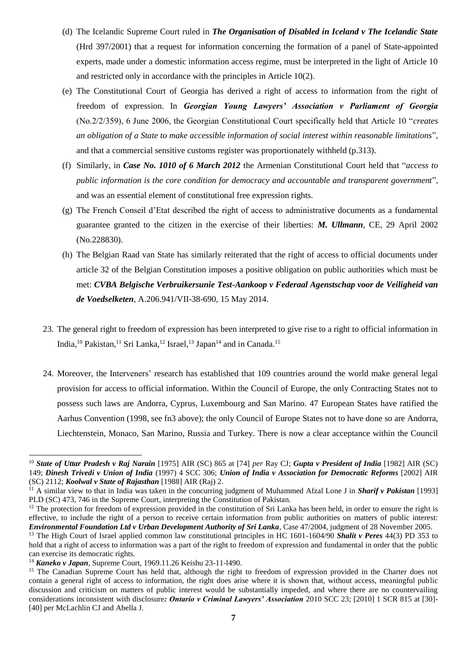- (d) The Icelandic Supreme Court ruled in *The Organisation of Disabled in Iceland v The Icelandic State* (Hrd 397/2001) that a request for information concerning the formation of a panel of State-appointed experts, made under a domestic information access regime, must be interpreted in the light of Article 10 and restricted only in accordance with the principles in Article 10(2).
- (e) The Constitutional Court of Georgia has derived a right of access to information from the right of freedom of expression. In *Georgian Young Lawyers' Association v Parliament of Georgia* (No.2/2/359), 6 June 2006, the Georgian Constitutional Court specifically held that Article 10 "*creates an obligation of a State to make accessible information of social interest within reasonable limitations*", and that a commercial sensitive customs register was proportionately withheld (p.313).
- (f) Similarly, in *Case No. 1010 of 6 March 2012* the Armenian Constitutional Court held that "*access to public information is the core condition for democracy and accountable and transparent government*", and was an essential element of constitutional free expression rights.
- (g) The French Conseil d'Etat described the right of access to administrative documents as a fundamental guarantee granted to the citizen in the exercise of their liberties: *M. Ullmann*, CE, 29 April 2002 (No.228830).
- (h) The Belgian Raad van State has similarly reiterated that the right of access to official documents under article 32 of the Belgian Constitution imposes a positive obligation on public authorities which must be met: *CVBA Belgische Verbruikersunie Test-Aankoop v Federaal Agenstschap voor de Veiligheid van de Voedselketen*, A.206.941/VII-38-690, 15 May 2014.
- 23. The general right to freedom of expression has been interpreted to give rise to a right to official information in India,<sup>10</sup> Pakistan,<sup>11</sup> Sri Lanka,<sup>12</sup> Israel,<sup>13</sup> Japan<sup>14</sup> and in Canada.<sup>15</sup>
- 24. Moreover, the Interveners' research has established that 109 countries around the world make general legal provision for access to official information. Within the Council of Europe, the only Contracting States not to possess such laws are Andorra, Cyprus, Luxembourg and San Marino. 47 European States have ratified the Aarhus Convention (1998, see fn3 above); the only Council of Europe States not to have done so are Andorra, Liechtenstein, Monaco, San Marino, Russia and Turkey. There is now a clear acceptance within the Council

 $\overline{a}$ 

<sup>10</sup> *State of Uttar Pradesh v Raj Narain* [1975] AIR (SC) 865 at [74] *per* Ray CJ; *Gupta v President of India* [1982] AIR (SC) 149; *Dinesh Trivedi v Union of India* (1997) 4 SCC 306; *Union of India v Association for Democratic Reforms* [2002] AIR (SC) 2112; *Koolwal v State of Rajasthan* [1988] AIR (Raj) 2.

<sup>11</sup> A similar view to that in India was taken in the concurring judgment of Muhammed Afzal Lone J in *Sharif v Pakistan* [1993] PLD (SC) 473, 746 in the Supreme Court, interpreting the Constitution of Pakistan.

<sup>&</sup>lt;sup>12</sup> The protection for freedom of expression provided in the constitution of Sri Lanka has been held, in order to ensure the right is effective, to include the right of a person to receive certain information from public authorities on matters of public interest: *Environmental Foundation Ltd v Urban Development Authority of Sri Lanka*, Case 47/2004, judgment of 28 November 2005.

<sup>&</sup>lt;sup>13</sup> The High Court of Israel applied common law constitutional principles in HC 1601-1604/90 **Shalit v Peres** 44(3) PD 353 to hold that a right of access to information was a part of the right to freedom of expression and fundamental in order that the public can exercise its democratic rights.

<sup>14</sup> *Kaneko v Japan*, Supreme Court, 1969.11.26 Keishu 23-11-l490.

<sup>&</sup>lt;sup>15</sup> The Canadian Supreme Court has held that, although the right to freedom of expression provided in the Charter does not contain a general right of access to information, the right does arise where it is shown that, without access, meaningful public discussion and criticism on matters of public interest would be substantially impeded, and where there are no countervailing considerations inconsistent with disclosure*: Ontario v Criminal Lawyers' Association* 2010 SCC 23; [2010] 1 SCR 815 at [30]- [40] per McLachlin CJ and Abella J.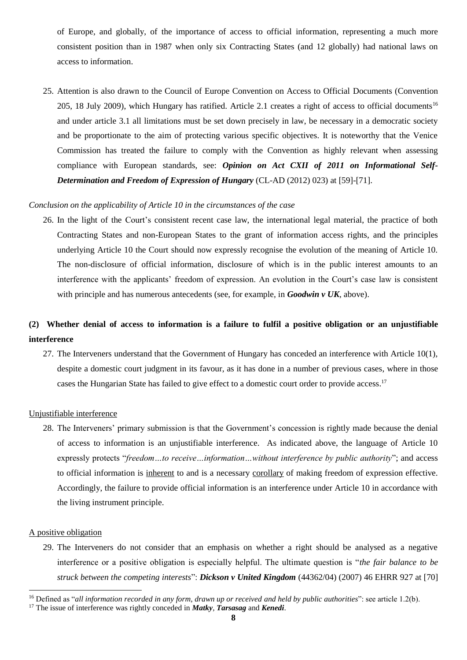of Europe, and globally, of the importance of access to official information, representing a much more consistent position than in 1987 when only six Contracting States (and 12 globally) had national laws on access to information.

25. Attention is also drawn to the Council of Europe Convention on Access to Official Documents (Convention 205, 18 July 2009), which Hungary has ratified. Article 2.1 creates a right of access to official documents<sup>16</sup> and under article 3.1 all limitations must be set down precisely in law, be necessary in a democratic society and be proportionate to the aim of protecting various specific objectives. It is noteworthy that the Venice Commission has treated the failure to comply with the Convention as highly relevant when assessing compliance with European standards, see: *Opinion on Act CXII of 2011 on Informational Self-Determination and Freedom of Expression of Hungary* (CL-AD (2012) 023) at [59]-[71].

#### *Conclusion on the applicability of Article 10 in the circumstances of the case*

26. In the light of the Court's consistent recent case law, the international legal material, the practice of both Contracting States and non-European States to the grant of information access rights, and the principles underlying Article 10 the Court should now expressly recognise the evolution of the meaning of Article 10. The non-disclosure of official information, disclosure of which is in the public interest amounts to an interference with the applicants' freedom of expression. An evolution in the Court's case law is consistent with principle and has numerous antecedents (see, for example, in *Goodwin v UK*, above).

## **(2) Whether denial of access to information is a failure to fulfil a positive obligation or an unjustifiable interference**

27. The Interveners understand that the Government of Hungary has conceded an interference with Article 10(1), despite a domestic court judgment in its favour, as it has done in a number of previous cases, where in those cases the Hungarian State has failed to give effect to a domestic court order to provide access. 17

#### Unjustifiable interference

28. The Interveners' primary submission is that the Government's concession is rightly made because the denial of access to information is an unjustifiable interference. As indicated above, the language of Article 10 expressly protects "*freedom…to receive…information…without interference by public authority*"; and access to official information is inherent to and is a necessary corollary of making freedom of expression effective. Accordingly, the failure to provide official information is an interference under Article 10 in accordance with the living instrument principle.

#### A positive obligation

l

29. The Interveners do not consider that an emphasis on whether a right should be analysed as a negative interference or a positive obligation is especially helpful. The ultimate question is "*the fair balance to be struck between the competing interests*": *Dickson v United Kingdom* (44362/04) (2007) 46 EHRR 927 at [70]

<sup>16</sup> Defined as "*all information recorded in any form, drawn up or received and held by public authorities*": see article 1.2(b).

<sup>17</sup> The issue of interference was rightly conceded in *Matky*, *Tarsasag* and *Kenedi*.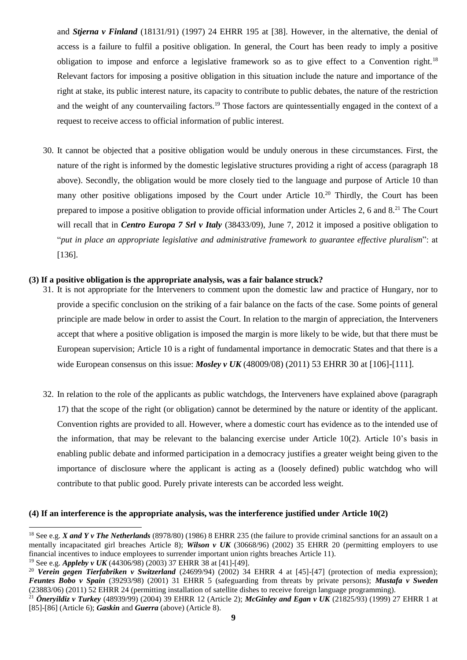and *Stjerna v Finland* (18131/91) (1997) 24 EHRR 195 at [38]. However, in the alternative, the denial of access is a failure to fulfil a positive obligation. In general, the Court has been ready to imply a positive obligation to impose and enforce a legislative framework so as to give effect to a Convention right.<sup>18</sup> Relevant factors for imposing a positive obligation in this situation include the nature and importance of the right at stake, its public interest nature, its capacity to contribute to public debates, the nature of the restriction and the weight of any countervailing factors.<sup>19</sup> Those factors are quintessentially engaged in the context of a request to receive access to official information of public interest.

30. It cannot be objected that a positive obligation would be unduly onerous in these circumstances. First, the nature of the right is informed by the domestic legislative structures providing a right of access (paragraph 18 above). Secondly, the obligation would be more closely tied to the language and purpose of Article 10 than many other positive obligations imposed by the Court under Article 10.<sup>20</sup> Thirdly, the Court has been prepared to impose a positive obligation to provide official information under Articles 2, 6 and 8.<sup>21</sup> The Court will recall that in *Centro Europa 7 Srl v Italy* (38433/09), June 7, 2012 it imposed a positive obligation to "*put in place an appropriate legislative and administrative framework to guarantee effective pluralism*": at [136].

#### **(3) If a positive obligation is the appropriate analysis, was a fair balance struck?**

- 31. It is not appropriate for the Interveners to comment upon the domestic law and practice of Hungary, nor to provide a specific conclusion on the striking of a fair balance on the facts of the case. Some points of general principle are made below in order to assist the Court. In relation to the margin of appreciation, the Interveners accept that where a positive obligation is imposed the margin is more likely to be wide, but that there must be European supervision; Article 10 is a right of fundamental importance in democratic States and that there is a wide European consensus on this issue: *Mosley v UK* (48009/08) (2011) 53 EHRR 30 at [106]-[111].
- 32. In relation to the role of the applicants as public watchdogs, the Interveners have explained above (paragraph 17) that the scope of the right (or obligation) cannot be determined by the nature or identity of the applicant. Convention rights are provided to all. However, where a domestic court has evidence as to the intended use of the information, that may be relevant to the balancing exercise under Article 10(2). Article 10's basis in enabling public debate and informed participation in a democracy justifies a greater weight being given to the importance of disclosure where the applicant is acting as a (loosely defined) public watchdog who will contribute to that public good. Purely private interests can be accorded less weight.

#### **(4) If an interference is the appropriate analysis, was the interference justified under Article 10(2)**

l

<sup>&</sup>lt;sup>18</sup> See e.g. *X and Y v The Netherlands* (8978/80) (1986) 8 EHRR 235 (the failure to provide criminal sanctions for an assault on a mentally incapacitated girl breaches Article 8); *Wilson v UK* (30668/96) (2002) 35 EHRR 20 (permitting employers to use financial incentives to induce employees to surrender important union rights breaches Article 11).

<sup>19</sup> See e.g. *Appleby v UK* (44306/98) (2003) 37 EHRR 38 at [41]-[49].

<sup>&</sup>lt;sup>20</sup> *Verein gegen Tierfabriken v Switzerland* (24699/94) (2002) 34 EHRR 4 at [45]-[47] (protection of media expression); *Feuntes Bobo v Spain* (39293/98) (2001) 31 EHRR 5 (safeguarding from threats by private persons); *Mustafa v Sweden* (23883/06) (2011) 52 EHRR 24 (permitting installation of satellite dishes to receive foreign language programming). <sup>21</sup> *Öneryildiz v Turkey* (48939/99) (2004) 39 EHRR 12 (Article 2); *McGinley and Egan v UK* (21825/93) (1999) 27 EHRR 1 at

<sup>[85]-[86] (</sup>Article 6); *Gaskin* and *Guerra* (above) (Article 8).